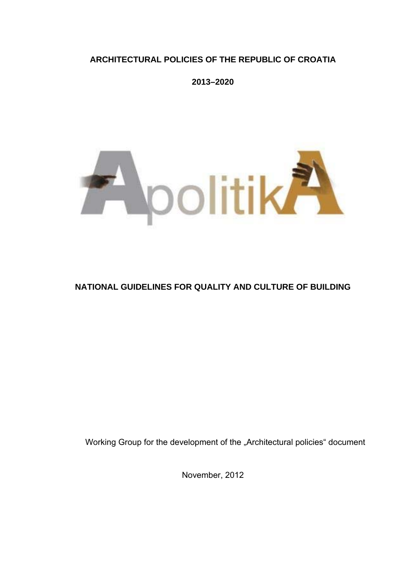### **ARCHITECTURAL POLICIES OF THE REPUBLIC OF CROATIA**

**2013–2020** 



# **NATIONAL GUIDELINES FOR QUALITY AND CULTURE OF BUILDING**

Working Group for the development of the "Architectural policies" document

November, 2012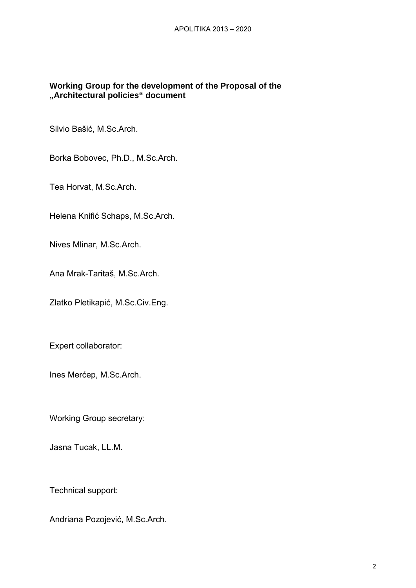### **Working Group for the development of the Proposal of the "Architectural policies" document**

Silvio Bašić, M.Sc.Arch.

Borka Bobovec, Ph.D., M.Sc.Arch.

Tea Horvat, M.Sc.Arch.

Helena Knifić Schaps, M.Sc.Arch.

Nives Mlinar, M.Sc.Arch.

Ana Mrak-Taritaš, M.Sc.Arch.

Zlatko Pletikapić, M.Sc.Civ.Eng.

Expert collaborator:

Ines Merćep, M.Sc.Arch.

Working Group secretary:

Jasna Tucak, LL.M.

Technical support:

Andriana Pozojević, M.Sc.Arch.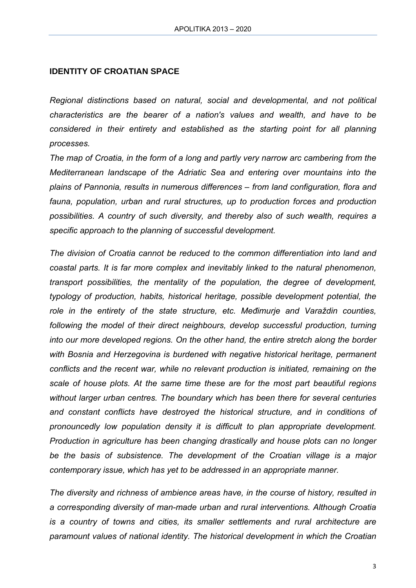#### **IDENTITY OF CROATIAN SPACE**

*Regional distinctions based on natural, social and developmental, and not political characteristics are the bearer of a nation's values and wealth, and have to be considered in their entirety and established as the starting point for all planning processes.* 

*The map of Croatia, in the form of a long and partly very narrow arc cambering from the Mediterranean landscape of the Adriatic Sea and entering over mountains into the plains of Pannonia, results in numerous differences – from land configuration, flora and fauna, population, urban and rural structures, up to production forces and production possibilities. A country of such diversity, and thereby also of such wealth, requires a specific approach to the planning of successful development.* 

*The division of Croatia cannot be reduced to the common differentiation into land and coastal parts. It is far more complex and inevitably linked to the natural phenomenon, transport possibilities, the mentality of the population, the degree of development, typology of production, habits, historical heritage, possible development potential, the role in the entirety of the state structure, etc. Međimurje and Varaždin counties,*  following the model of their direct neighbours, develop successful production, turning *into our more developed regions. On the other hand, the entire stretch along the border with Bosnia and Herzegovina is burdened with negative historical heritage, permanent conflicts and the recent war, while no relevant production is initiated, remaining on the scale of house plots. At the same time these are for the most part beautiful regions without larger urban centres. The boundary which has been there for several centuries and constant conflicts have destroyed the historical structure, and in conditions of pronouncedly low population density it is difficult to plan appropriate development. Production in agriculture has been changing drastically and house plots can no longer be the basis of subsistence. The development of the Croatian village is a major contemporary issue, which has yet to be addressed in an appropriate manner.* 

*The diversity and richness of ambience areas have, in the course of history, resulted in a corresponding diversity of man-made urban and rural interventions. Although Croatia is a country of towns and cities, its smaller settlements and rural architecture are paramount values of national identity. The historical development in which the Croatian*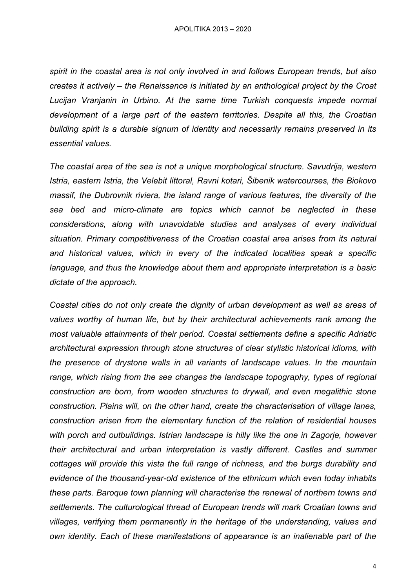*spirit in the coastal area is not only involved in and follows European trends, but also creates it actively – the Renaissance is initiated by an anthological project by the Croat Lucijan Vranjanin in Urbino. At the same time Turkish conquests impede normal development of a large part of the eastern territories. Despite all this, the Croatian building spirit is a durable signum of identity and necessarily remains preserved in its essential values.* 

*The coastal area of the sea is not a unique morphological structure. Savudrija, western Istria, eastern Istria, the Velebit littoral, Ravni kotari, Šibenik watercourses, the Biokovo massif, the Dubrovnik riviera, the island range of various features, the diversity of the sea bed and micro-climate are topics which cannot be neglected in these considerations, along with unavoidable studies and analyses of every individual situation. Primary competitiveness of the Croatian coastal area arises from its natural and historical values, which in every of the indicated localities speak a specific language, and thus the knowledge about them and appropriate interpretation is a basic dictate of the approach.* 

*Coastal cities do not only create the dignity of urban development as well as areas of values worthy of human life, but by their architectural achievements rank among the most valuable attainments of their period. Coastal settlements define a specific Adriatic architectural expression through stone structures of clear stylistic historical idioms, with the presence of drystone walls in all variants of landscape values. In the mountain range, which rising from the sea changes the landscape topography, types of regional construction are born, from wooden structures to drywall, and even megalithic stone construction. Plains will, on the other hand, create the characterisation of village lanes, construction arisen from the elementary function of the relation of residential houses with porch and outbuildings. Istrian landscape is hilly like the one in Zagorje, however their architectural and urban interpretation is vastly different. Castles and summer cottages will provide this vista the full range of richness, and the burgs durability and evidence of the thousand-year-old existence of the ethnicum which even today inhabits these parts. Baroque town planning will characterise the renewal of northern towns and settlements. The culturological thread of European trends will mark Croatian towns and villages, verifying them permanently in the heritage of the understanding, values and own identity. Each of these manifestations of appearance is an inalienable part of the*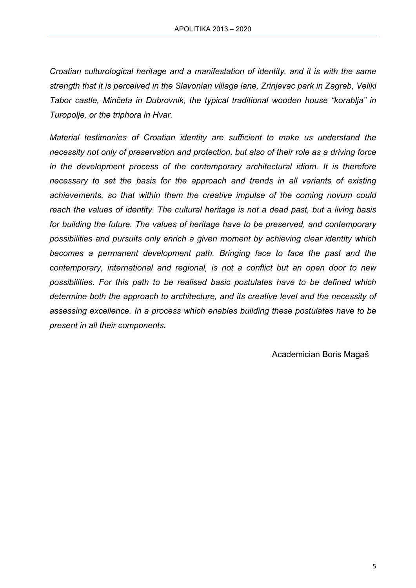*Croatian culturological heritage and a manifestation of identity, and it is with the same strength that it is perceived in the Slavonian village lane, Zrinjevac park in Zagreb, Veliki Tabor castle, Minčeta in Dubrovnik, the typical traditional wooden house "korablja" in Turopolje, or the triphora in Hvar.* 

*Material testimonies of Croatian identity are sufficient to make us understand the necessity not only of preservation and protection, but also of their role as a driving force in the development process of the contemporary architectural idiom. It is therefore necessary to set the basis for the approach and trends in all variants of existing achievements, so that within them the creative impulse of the coming novum could reach the values of identity. The cultural heritage is not a dead past, but a living basis for building the future. The values of heritage have to be preserved, and contemporary possibilities and pursuits only enrich a given moment by achieving clear identity which becomes a permanent development path. Bringing face to face the past and the contemporary, international and regional, is not a conflict but an open door to new possibilities. For this path to be realised basic postulates have to be defined which determine both the approach to architecture, and its creative level and the necessity of assessing excellence. In a process which enables building these postulates have to be present in all their components.* 

Academician Boris Magaš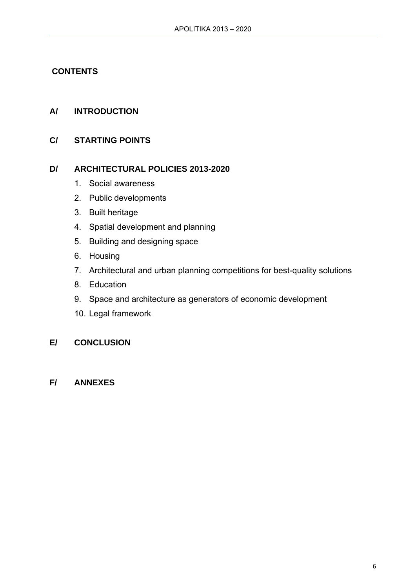### **CONTENTS**

### **A/ INTRODUCTION**

### **C/ STARTING POINTS**

#### **D/ ARCHITECTURAL POLICIES 2013-2020**

- 1. Social awareness
- 2. Public developments
- 3. Built heritage
- 4. Spatial development and planning
- 5. Building and designing space
- 6. Housing
- 7. Architectural and urban planning competitions for best-quality solutions
- 8. Education
- 9. Space and architecture as generators of economic development
- 10. Legal framework

### **E/ CONCLUSION**

**F/ ANNEXES**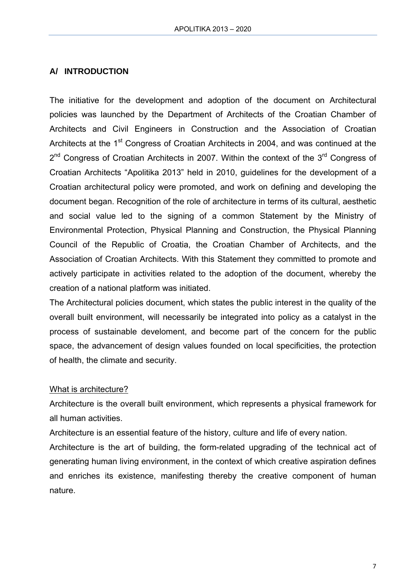### **A/ INTRODUCTION**

The initiative for the development and adoption of the document on Architectural policies was launched by the Department of Architects of the Croatian Chamber of Architects and Civil Engineers in Construction and the Association of Croatian Architects at the 1<sup>st</sup> Congress of Croatian Architects in 2004, and was continued at the  $2^{nd}$  Congress of Croatian Architects in 2007. Within the context of the  $3^{rd}$  Congress of Croatian Architects "Apolitika 2013" held in 2010, guidelines for the development of a Croatian architectural policy were promoted, and work on defining and developing the document began. Recognition of the role of architecture in terms of its cultural, aesthetic and social value led to the signing of a common Statement by the Ministry of Environmental Protection, Physical Planning and Construction, the Physical Planning Council of the Republic of Croatia, the Croatian Chamber of Architects, and the Association of Croatian Architects. With this Statement they committed to promote and actively participate in activities related to the adoption of the document, whereby the creation of a national platform was initiated.

The Architectural policies document, which states the public interest in the quality of the overall built environment, will necessarily be integrated into policy as a catalyst in the process of sustainable develoment, and become part of the concern for the public space, the advancement of design values founded on local specificities, the protection of health, the climate and security.

#### What is architecture?

Architecture is the overall built environment, which represents a physical framework for all human activities.

Architecture is an essential feature of the history, culture and life of every nation.

Architecture is the art of building, the form-related upgrading of the technical act of generating human living environment, in the context of which creative aspiration defines and enriches its existence, manifesting thereby the creative component of human nature.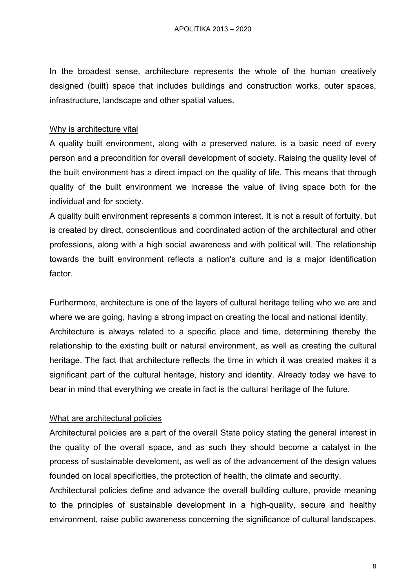In the broadest sense, architecture represents the whole of the human creatively designed (built) space that includes buildings and construction works, outer spaces, infrastructure, landscape and other spatial values.

### Why is architecture vital

A quality built environment, along with a preserved nature, is a basic need of every person and a precondition for overall development of society. Raising the quality level of the built environment has a direct impact on the quality of life. This means that through quality of the built environment we increase the value of living space both for the individual and for society.

A quality built environment represents a common interest. It is not a result of fortuity, but is created by direct, conscientious and coordinated action of the architectural and other professions, along with a high social awareness and with political will. The relationship towards the built environment reflects a nation's culture and is a major identification factor.

Furthermore, architecture is one of the layers of cultural heritage telling who we are and where we are going, having a strong impact on creating the local and national identity. Architecture is always related to a specific place and time, determining thereby the relationship to the existing built or natural environment, as well as creating the cultural heritage. The fact that architecture reflects the time in which it was created makes it a significant part of the cultural heritage, history and identity. Already today we have to bear in mind that everything we create in fact is the cultural heritage of the future.

#### What are architectural policies

Architectural policies are a part of the overall State policy stating the general interest in the quality of the overall space, and as such they should become a catalyst in the process of sustainable develoment, as well as of the advancement of the design values founded on local specificities, the protection of health, the climate and security.

Architectural policies define and advance the overall building culture, provide meaning to the principles of sustainable development in a high-quality, secure and healthy environment, raise public awareness concerning the significance of cultural landscapes,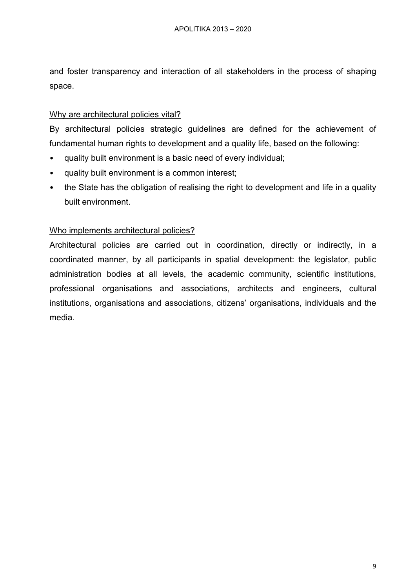and foster transparency and interaction of all stakeholders in the process of shaping space.

### Why are architectural policies vital?

By architectural policies strategic guidelines are defined for the achievement of fundamental human rights to development and a quality life, based on the following:

- quality built environment is a basic need of every individual;
- quality built environment is a common interest;
- the State has the obligation of realising the right to development and life in a quality built environment.

### Who implements architectural policies?

Architectural policies are carried out in coordination, directly or indirectly, in a coordinated manner, by all participants in spatial development: the legislator, public administration bodies at all levels, the academic community, scientific institutions, professional organisations and associations, architects and engineers, cultural institutions, organisations and associations, citizens' organisations, individuals and the media.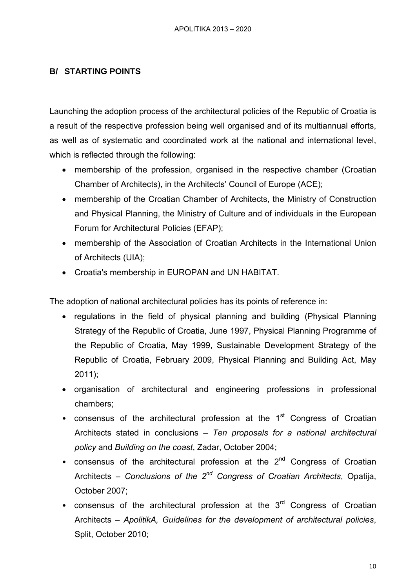# **B/ STARTING POINTS**

Launching the adoption process of the architectural policies of the Republic of Croatia is a result of the respective profession being well organised and of its multiannual efforts, as well as of systematic and coordinated work at the national and international level, which is reflected through the following:

- membership of the profession, organised in the respective chamber (Croatian Chamber of Architects), in the Architects' Council of Europe (ACE);
- membership of the Croatian Chamber of Architects, the Ministry of Construction and Physical Planning, the Ministry of Culture and of individuals in the European Forum for Architectural Policies (EFAP);
- membership of the Association of Croatian Architects in the International Union of Architects (UIA);
- Croatia's membership in EUROPAN and UN HABITAT.

The adoption of national architectural policies has its points of reference in:

- regulations in the field of physical planning and building (Physical Planning Strategy of the Republic of Croatia, June 1997, Physical Planning Programme of the Republic of Croatia, May 1999, Sustainable Development Strategy of the Republic of Croatia, February 2009, Physical Planning and Building Act, May 2011);
- organisation of architectural and engineering professions in professional chambers;
- consensus of the architectural profession at the  $1<sup>st</sup>$  Congress of Croatian Architects stated in conclusions – *Ten proposals for a national architectural policy* and *Building on the coast*, Zadar, October 2004;
- consensus of the architectural profession at the  $2<sup>nd</sup>$  Congress of Croatian Architects – *Conclusions of the 2nd Congress of Croatian Architects*, Opatija, October 2007;
- consensus of the architectural profession at the  $3<sup>rd</sup>$  Congress of Croatian Architects – *ApolitikA, Guidelines for the development of architectural policies*, Split, October 2010;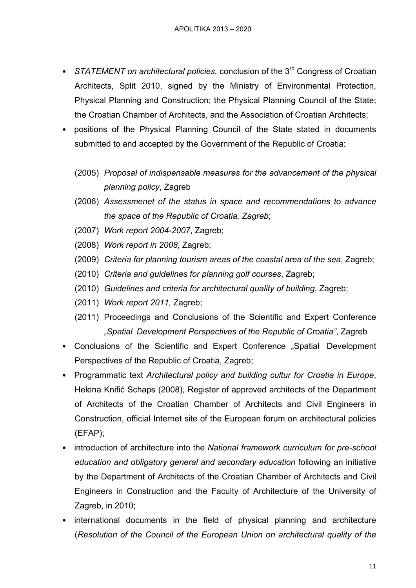- *STATEMENT on architectural policies, conclusion of the 3<sup>rd</sup> Congress of Croatian* Architects, Split 2010, signed by the Ministry of Environmental Protection, Physical Planning and Construction; the Physical Planning Council of the State; the Croatian Chamber of Architects, and the Association of Croatian Architects;
- positions of the Physical Planning Council of the State stated in documents submitted to and accepted by the Government of the Republic of Croatia:
	- (2005) *Proposal of indispensable measures for the advancement of the physical planning policy*, Zagreb
	- (2006) *Assessmenet of the status in space and recommendations to advance the space of the Republic of Croatia, Zagreb*;
	- (2007) *Work report 2004-2007*, Zagreb;
	- (2008) *Work report in 2008,* Zagreb;
	- (2009) *Criteria for planning tourism areas of the coastal area of the sea*, Zagreb;
	- (2010) *Criteria and guidelines for planning golf courses*, Zagreb;
	- (2010) *Guidelines and criteria for architectural quality of building*, Zagreb;
	- (2011) *Work report 2011,* Zagreb;
	- (2011) Proceedings and Conclusions of the Scientific and Expert Conference "*Spatial Development Perspectives of the Republic of Croatia"*, Zagreb
- Conclusions of the Scientific and Expert Conference "Spatial Development Perspectives of the Republic of Croatia, Zagreb;
- Programmatic text *Architectural policy and building cultur for Croatia in Europe*, Helena Knifić Schaps (2008), Register of approved architects of the Department of Architects of the Croatian Chamber of Architects and Civil Engineers in Construction, official Internet site of the European forum on architectural policies (EFAP);
- introduction of architecture into the *National framework curriculum for pre-school education and obligatory general and secondary education* following an initiative by the Department of Architects of the Croatian Chamber of Architects and Civil Engineers in Construction and the Faculty of Architecture of the University of Zagreb, in 2010;
- international documents in the field of physical planning and architecture (*Resolution of the Council of the European Union on architectural quality of the*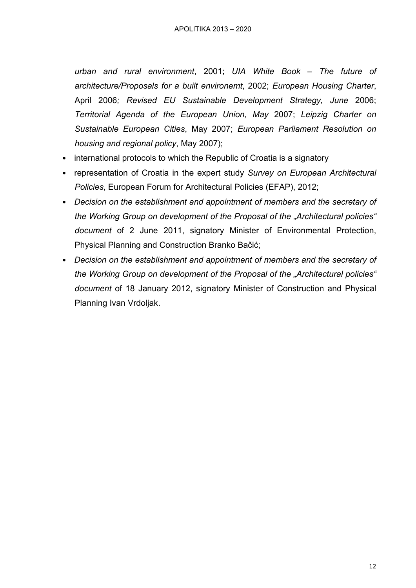*urban and rural environment*, 2001; *UIA White Book – The future of architecture/Proposals for a built environemt*, 2002; *European Housing Charter*, April 2006*; Revised EU Sustainable Development Strategy, June* 2006; *Territorial Agenda of the European Union, May* 2007; *Leipzig Charter on Sustainable European Cities*, May 2007; *European Parliament Resolution on housing and regional policy*, May 2007);

- international protocols to which the Republic of Croatia is a signatory
- representation of Croatia in the expert study *Survey on European Architectural Policies*, European Forum for Architectural Policies (EFAP), 2012;
- *Decision on the establishment and appointment of members and the secretary of the Working Group on development of the Proposal of the "Architectural policies" document* of 2 June 2011, signatory Minister of Environmental Protection, Physical Planning and Construction Branko Bačić;
- *Decision on the establishment and appointment of members and the secretary of the Working Group on development of the Proposal of the "Architectural policies" document* of 18 January 2012, signatory Minister of Construction and Physical Planning Ivan Vrdoljak.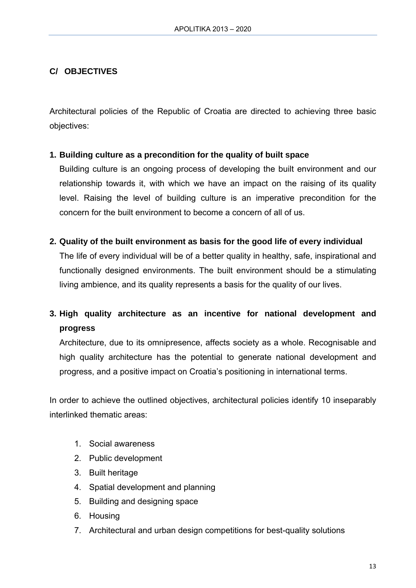# **C/ OBJECTIVES**

Architectural policies of the Republic of Croatia are directed to achieving three basic objectives:

### **1. Building culture as a precondition for the quality of built space**

Building culture is an ongoing process of developing the built environment and our relationship towards it, with which we have an impact on the raising of its quality level. Raising the level of building culture is an imperative precondition for the concern for the built environment to become a concern of all of us.

#### **2. Quality of the built environment as basis for the good life of every individual**

The life of every individual will be of a better quality in healthy, safe, inspirational and functionally designed environments. The built environment should be a stimulating living ambience, and its quality represents a basis for the quality of our lives.

# **3. High quality architecture as an incentive for national development and progress**

Architecture, due to its omnipresence, affects society as a whole. Recognisable and high quality architecture has the potential to generate national development and progress, and a positive impact on Croatia's positioning in international terms.

In order to achieve the outlined objectives, architectural policies identify 10 inseparably interlinked thematic areas:

- 1. Social awareness
- 2. Public development
- 3. Built heritage
- 4. Spatial development and planning
- 5. Building and designing space
- 6. Housing
- 7. Architectural and urban design competitions for best-quality solutions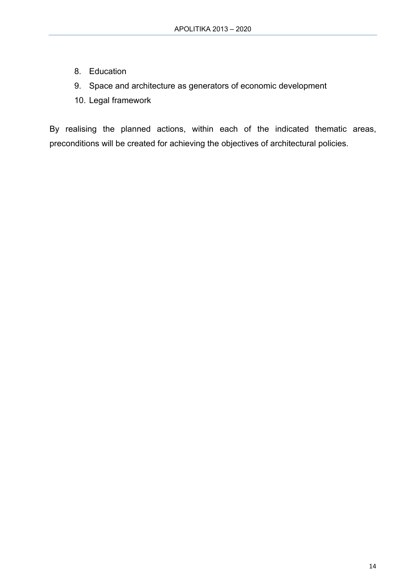- 8. Education
- 9. Space and architecture as generators of economic development
- 10. Legal framework

By realising the planned actions, within each of the indicated thematic areas, preconditions will be created for achieving the objectives of architectural policies.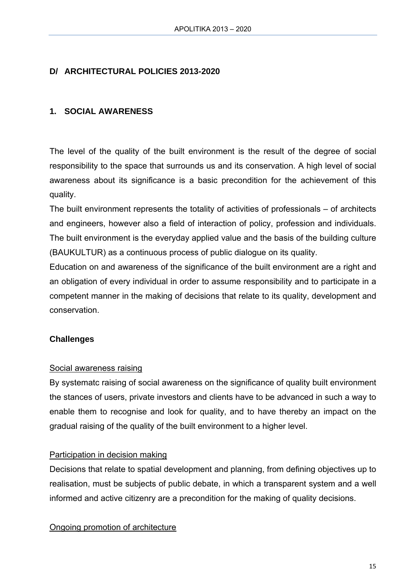### **D/ ARCHITECTURAL POLICIES 2013-2020**

### **1. SOCIAL AWARENESS**

The level of the quality of the built environment is the result of the degree of social responsibility to the space that surrounds us and its conservation. A high level of social awareness about its significance is a basic precondition for the achievement of this quality.

The built environment represents the totality of activities of professionals – of architects and engineers, however also a field of interaction of policy, profession and individuals. The built environment is the everyday applied value and the basis of the building culture (BAUKULTUR) as a continuous process of public dialogue on its quality.

Education on and awareness of the significance of the built environment are a right and an obligation of every individual in order to assume responsibility and to participate in a competent manner in the making of decisions that relate to its quality, development and conservation.

#### **Challenges**

#### Social awareness raising

By systematc raising of social awareness on the significance of quality built environment the stances of users, private investors and clients have to be advanced in such a way to enable them to recognise and look for quality, and to have thereby an impact on the gradual raising of the quality of the built environment to a higher level.

#### Participation in decision making

Decisions that relate to spatial development and planning, from defining objectives up to realisation, must be subjects of public debate, in which a transparent system and a well informed and active citizenry are a precondition for the making of quality decisions.

Ongoing promotion of architecture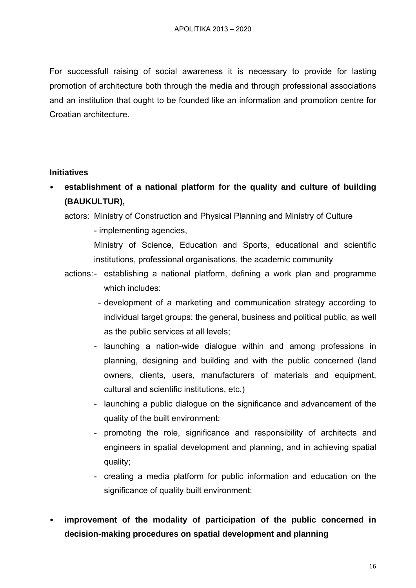For successfull raising of social awareness it is necessary to provide for lasting promotion of architecture both through the media and through professional associations and an institution that ought to be founded like an information and promotion centre for Croatian architecture.

#### **Initiatives**

- **establishment of a national platform for the quality and culture of building (BAUKULTUR),** 
	- actors: Ministry of Construction and Physical Planning and Ministry of Culture
		- implementing agencies,

Ministry of Science, Education and Sports, educational and scientific institutions, professional organisations, the academic community

- actions: establishing a national platform, defining a work plan and programme which includes:
	- development of a marketing and communication strategy according to individual target groups: the general, business and political public, as well as the public services at all levels;
	- launching a nation-wide dialogue within and among professions in planning, designing and building and with the public concerned (land owners, clients, users, manufacturers of materials and equipment, cultural and scientific institutions, etc.)
	- launching a public dialogue on the significance and advancement of the quality of the built environment;
	- promoting the role, significance and responsibility of architects and engineers in spatial development and planning, and in achieving spatial quality;
	- creating a media platform for public information and education on the significance of quality built environment;
- **improvement of the modality of participation of the public concerned in decision-making procedures on spatial development and planning**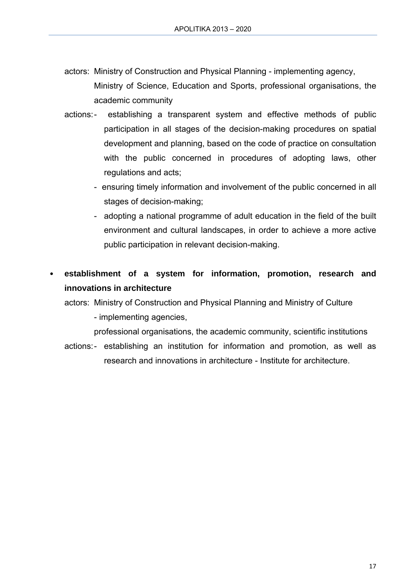- actors: Ministry of Construction and Physical Planning implementing agency, Ministry of Science, Education and Sports, professional organisations, the academic community
- actions: establishing a transparent system and effective methods of public participation in all stages of the decision-making procedures on spatial development and planning, based on the code of practice on consultation with the public concerned in procedures of adopting laws, other regulations and acts;
	- ensuring timely information and involvement of the public concerned in all stages of decision-making;
	- adopting a national programme of adult education in the field of the built environment and cultural landscapes, in order to achieve a more active public participation in relevant decision-making.
- **establishment of a system for information, promotion, research and innovations in architecture**

actors: Ministry of Construction and Physical Planning and Ministry of Culture

- implementing agencies,

professional organisations, the academic community, scientific institutions

actions: - establishing an institution for information and promotion, as well as research and innovations in architecture - Institute for architecture.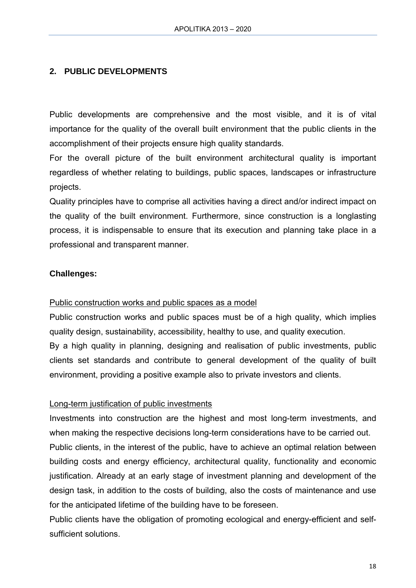### **2. PUBLIC DEVELOPMENTS**

Public developments are comprehensive and the most visible, and it is of vital importance for the quality of the overall built environment that the public clients in the accomplishment of their projects ensure high quality standards.

For the overall picture of the built environment architectural quality is important regardless of whether relating to buildings, public spaces, landscapes or infrastructure projects.

Quality principles have to comprise all activities having a direct and/or indirect impact on the quality of the built environment. Furthermore, since construction is a longlasting process, it is indispensable to ensure that its execution and planning take place in a professional and transparent manner.

#### **Challenges:**

#### Public construction works and public spaces as a model

Public construction works and public spaces must be of a high quality, which implies quality design, sustainability, accessibility, healthy to use, and quality execution. By a high quality in planning, designing and realisation of public investments, public clients set standards and contribute to general development of the quality of built environment, providing a positive example also to private investors and clients.

#### Long-term justification of public investments

Investments into construction are the highest and most long-term investments, and when making the respective decisions long-term considerations have to be carried out. Public clients, in the interest of the public, have to achieve an optimal relation between building costs and energy efficiency, architectural quality, functionality and economic justification. Already at an early stage of investment planning and development of the design task, in addition to the costs of building, also the costs of maintenance and use for the anticipated lifetime of the building have to be foreseen.

Public clients have the obligation of promoting ecological and energy-efficient and selfsufficient solutions.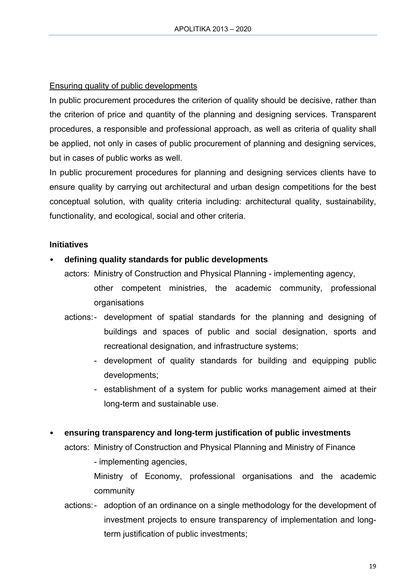### Ensuring quality of public developments

In public procurement procedures the criterion of quality should be decisive, rather than the criterion of price and quantity of the planning and designing services. Transparent procedures, a responsible and professional approach, as well as criteria of quality shall be applied, not only in cases of public procurement of planning and designing services, but in cases of public works as well.

In public procurement procedures for planning and designing services clients have to ensure quality by carrying out architectural and urban design competitions for the best conceptual solution, with quality criteria including: architectural quality, sustainability, functionality, and ecological, social and other criteria.

### **Initiatives**

### • **defining quality standards for public developments**

actors: Ministry of Construction and Physical Planning - implementing agency,

- other competent ministries, the academic community, professional organisations
- actions: development of spatial standards for the planning and designing of buildings and spaces of public and social designation, sports and recreational designation, and infrastructure systems;
	- development of quality standards for building and equipping public developments;
	- establishment of a system for public works management aimed at their long-term and sustainable use.

#### • **ensuring transparency and long-term justification of public investments**

actors: Ministry of Construction and Physical Planning and Ministry of Finance

- implementing agencies,

Ministry of Economy, professional organisations and the academic community

actions: - adoption of an ordinance on a single methodology for the development of investment projects to ensure transparency of implementation and longterm justification of public investments;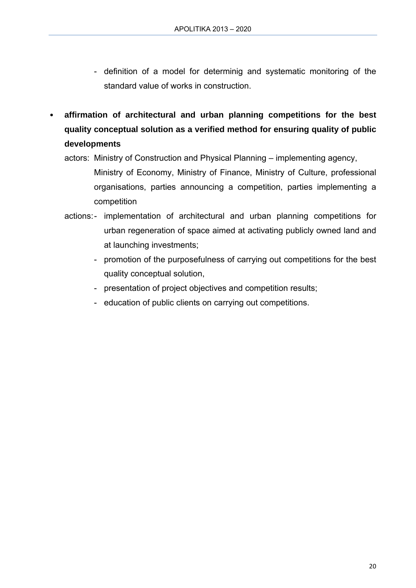- definition of a model for determinig and systematic monitoring of the standard value of works in construction.
- **affirmation of architectural and urban planning competitions for the best quality conceptual solution as a verified method for ensuring quality of public developments** 
	- actors: Ministry of Construction and Physical Planning implementing agency,
		- Ministry of Economy, Ministry of Finance, Ministry of Culture, professional organisations, parties announcing a competition, parties implementing a competition
	- actions: implementation of architectural and urban planning competitions for urban regeneration of space aimed at activating publicly owned land and at launching investments;
		- promotion of the purposefulness of carrying out competitions for the best quality conceptual solution,
		- presentation of project objectives and competition results;
		- education of public clients on carrying out competitions.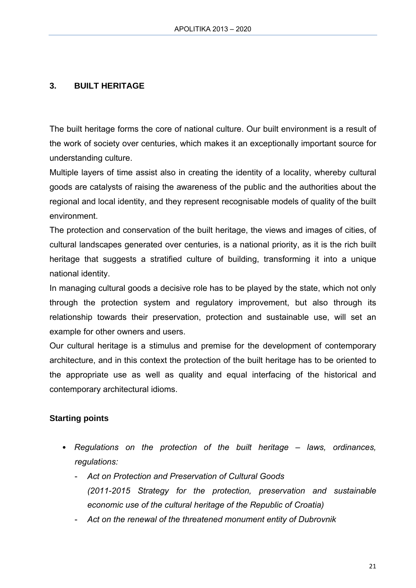### **3. BUILT HERITAGE**

The built heritage forms the core of national culture. Our built environment is a result of the work of society over centuries, which makes it an exceptionally important source for understanding culture.

Multiple layers of time assist also in creating the identity of a locality, whereby cultural goods are catalysts of raising the awareness of the public and the authorities about the regional and local identity, and they represent recognisable models of quality of the built environment.

The protection and conservation of the built heritage, the views and images of cities, of cultural landscapes generated over centuries, is a national priority, as it is the rich built heritage that suggests a stratified culture of building, transforming it into a unique national identity.

In managing cultural goods a decisive role has to be played by the state, which not only through the protection system and regulatory improvement, but also through its relationship towards their preservation, protection and sustainable use, will set an example for other owners and users.

Our cultural heritage is a stimulus and premise for the development of contemporary architecture, and in this context the protection of the built heritage has to be oriented to the appropriate use as well as quality and equal interfacing of the historical and contemporary architectural idioms.

#### **Starting points**

- *Regulations on the protection of the built heritage laws, ordinances, regulations:* 
	- *Act on Protection and Preservation of Cultural Goods (2011-2015 Strategy for the protection, preservation and sustainable economic use of the cultural heritage of the Republic of Croatia)*
	- *Act on the renewal of the threatened monument entity of Dubrovnik*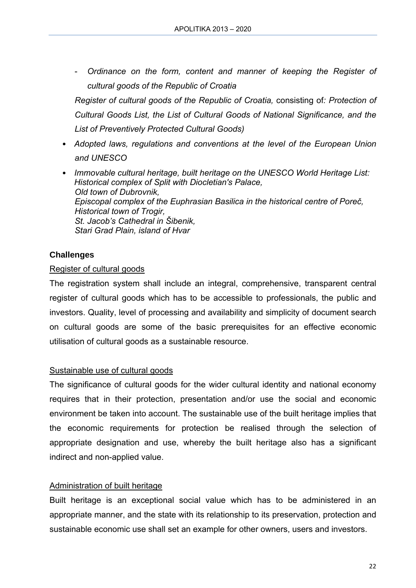- *Ordinance on the form, content and manner of keeping the Register of cultural goods of the Republic of Croatia* 

*Register of cultural goods of the Republic of Croatia,* consisting of*: Protection of Cultural Goods List, the List of Cultural Goods of National Significance, and the List of Preventively Protected Cultural Goods)* 

- *Adopted laws, regulations and conventions at the level of the European Union and UNESCO*
- *Immovable cultural heritage, built heritage on the UNESCO World Heritage List: Historical complex of Split with Diocletian's Palace, Old town of Dubrovnik, Episcopal complex of the Euphrasian Basilica in the historical centre of Poreč, Historical town of Trogir, St. Jacob's Cathedral in Šibenik, Stari Grad Plain, island of Hvar*

### **Challenges**

#### Register of cultural goods

The registration system shall include an integral, comprehensive, transparent central register of cultural goods which has to be accessible to professionals, the public and investors. Quality, level of processing and availability and simplicity of document search on cultural goods are some of the basic prerequisites for an effective economic utilisation of cultural goods as a sustainable resource.

#### Sustainable use of cultural goods

The significance of cultural goods for the wider cultural identity and national economy requires that in their protection, presentation and/or use the social and economic environment be taken into account. The sustainable use of the built heritage implies that the economic requirements for protection be realised through the selection of appropriate designation and use, whereby the built heritage also has a significant indirect and non-applied value.

#### Administration of built heritage

Built heritage is an exceptional social value which has to be administered in an appropriate manner, and the state with its relationship to its preservation, protection and sustainable economic use shall set an example for other owners, users and investors.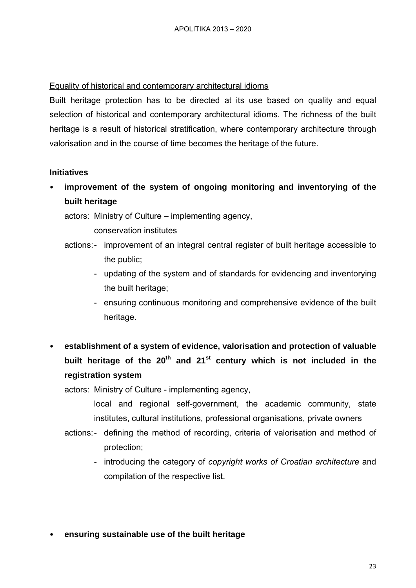### Equality of historical and contemporary architectural idioms

Built heritage protection has to be directed at its use based on quality and equal selection of historical and contemporary architectural idioms. The richness of the built heritage is a result of historical stratification, where contemporary architecture through valorisation and in the course of time becomes the heritage of the future.

### **Initiatives**

• **improvement of the system of ongoing monitoring and inventorying of the built heritage** 

actors: Ministry of Culture – implementing agency,

conservation institutes

- actions: improvement of an integral central register of built heritage accessible to the public;
	- updating of the system and of standards for evidencing and inventorying the built heritage;
	- ensuring continuous monitoring and comprehensive evidence of the built heritage.
- **establishment of a system of evidence, valorisation and protection of valuable**  built heritage of the 20<sup>th</sup> and 21<sup>st</sup> century which is not included in the **registration system**

actors: Ministry of Culture - implementing agency,

local and regional self-government, the academic community, state institutes, cultural institutions, professional organisations, private owners

- actions: defining the method of recording, criteria of valorisation and method of protection;
	- introducing the category of *copyright works of Croatian architecture* and compilation of the respective list.
- **ensuring sustainable use of the built heritage**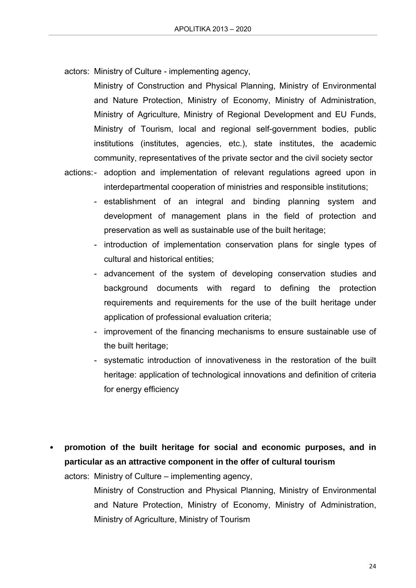actors: Ministry of Culture - implementing agency,

Ministry of Construction and Physical Planning, Ministry of Environmental and Nature Protection, Ministry of Economy, Ministry of Administration, Ministry of Agriculture, Ministry of Regional Development and EU Funds, Ministry of Tourism, local and regional self-government bodies, public institutions (institutes, agencies, etc.), state institutes, the academic community, representatives of the private sector and the civil society sector

- actions: adoption and implementation of relevant regulations agreed upon in interdepartmental cooperation of ministries and responsible institutions;
	- establishment of an integral and binding planning system and development of management plans in the field of protection and preservation as well as sustainable use of the built heritage;
	- introduction of implementation conservation plans for single types of cultural and historical entities;
	- advancement of the system of developing conservation studies and background documents with regard to defining the protection requirements and requirements for the use of the built heritage under application of professional evaluation criteria;
	- improvement of the financing mechanisms to ensure sustainable use of the built heritage;
	- systematic introduction of innovativeness in the restoration of the built heritage: application of technological innovations and definition of criteria for energy efficiency
- **promotion of the built heritage for social and economic purposes, and in particular as an attractive component in the offer of cultural tourism**

actors: Ministry of Culture – implementing agency,

Ministry of Construction and Physical Planning, Ministry of Environmental and Nature Protection, Ministry of Economy, Ministry of Administration, Ministry of Agriculture, Ministry of Tourism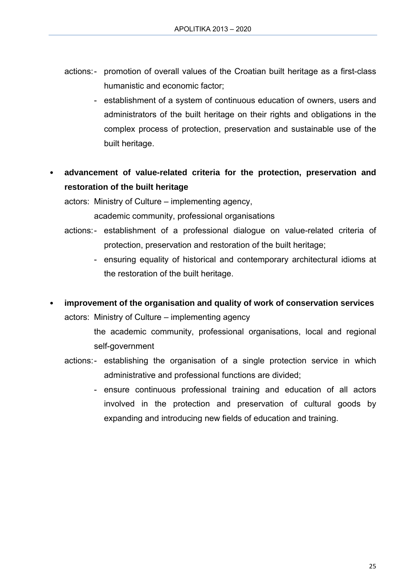- actions: promotion of overall values of the Croatian built heritage as a first-class humanistic and economic factor;
	- establishment of a system of continuous education of owners, users and administrators of the built heritage on their rights and obligations in the complex process of protection, preservation and sustainable use of the built heritage.
- **advancement of value-related criteria for the protection, preservation and restoration of the built heritage**

actors: Ministry of Culture – implementing agency,

academic community, professional organisations

- actions: establishment of a professional dialogue on value-related criteria of protection, preservation and restoration of the built heritage;
	- ensuring equality of historical and contemporary architectural idioms at the restoration of the built heritage.
- **improvement of the organisation and quality of work of conservation services**

actors: Ministry of Culture – implementing agency

- the academic community, professional organisations, local and regional self-government
- actions: establishing the organisation of a single protection service in which administrative and professional functions are divided;
	- ensure continuous professional training and education of all actors involved in the protection and preservation of cultural goods by expanding and introducing new fields of education and training.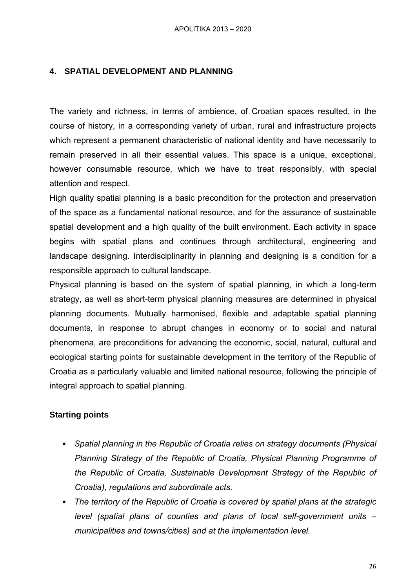### **4. SPATIAL DEVELOPMENT AND PLANNING**

The variety and richness, in terms of ambience, of Croatian spaces resulted, in the course of history, in a corresponding variety of urban, rural and infrastructure projects which represent a permanent characteristic of national identity and have necessarily to remain preserved in all their essential values. This space is a unique, exceptional, however consumable resource, which we have to treat responsibly, with special attention and respect.

High quality spatial planning is a basic precondition for the protection and preservation of the space as a fundamental national resource, and for the assurance of sustainable spatial development and a high quality of the built environment. Each activity in space begins with spatial plans and continues through architectural, engineering and landscape designing. Interdisciplinarity in planning and designing is a condition for a responsible approach to cultural landscape.

Physical planning is based on the system of spatial planning, in which a long-term strategy, as well as short-term physical planning measures are determined in physical planning documents. Mutually harmonised, flexible and adaptable spatial planning documents, in response to abrupt changes in economy or to social and natural phenomena, are preconditions for advancing the economic, social, natural, cultural and ecological starting points for sustainable development in the territory of the Republic of Croatia as a particularly valuable and limited national resource, following the principle of integral approach to spatial planning.

#### **Starting points**

- *Spatial planning in the Republic of Croatia relies on strategy documents (Physical Planning Strategy of the Republic of Croatia, Physical Planning Programme of the Republic of Croatia, Sustainable Development Strategy of the Republic of Croatia), regulations and subordinate acts.*
- *The territory of the Republic of Croatia is covered by spatial plans at the strategic level (spatial plans of counties and plans of local self-government units – municipalities and towns/cities) and at the implementation level.*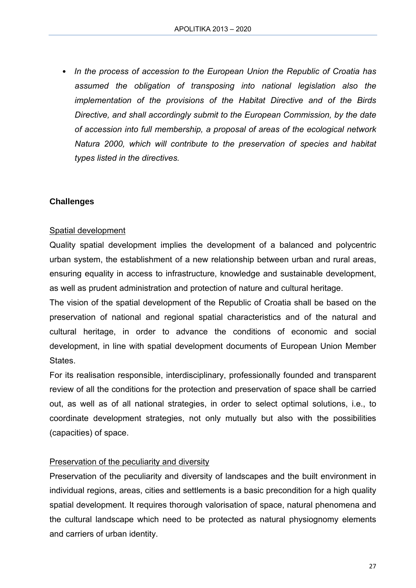• *In the process of accession to the European Union the Republic of Croatia has assumed the obligation of transposing into national legislation also the implementation of the provisions of the Habitat Directive and of the Birds Directive, and shall accordingly submit to the European Commission, by the date of accession into full membership, a proposal of areas of the ecological network Natura 2000, which will contribute to the preservation of species and habitat types listed in the directives.* 

### **Challenges**

#### Spatial development

Quality spatial development implies the development of a balanced and polycentric urban system, the establishment of a new relationship between urban and rural areas, ensuring equality in access to infrastructure, knowledge and sustainable development, as well as prudent administration and protection of nature and cultural heritage.

The vision of the spatial development of the Republic of Croatia shall be based on the preservation of national and regional spatial characteristics and of the natural and cultural heritage, in order to advance the conditions of economic and social development, in line with spatial development documents of European Union Member States.

For its realisation responsible, interdisciplinary, professionally founded and transparent review of all the conditions for the protection and preservation of space shall be carried out, as well as of all national strategies, in order to select optimal solutions, i.e., to coordinate development strategies, not only mutually but also with the possibilities (capacities) of space.

#### Preservation of the peculiarity and diversity

Preservation of the peculiarity and diversity of landscapes and the built environment in individual regions, areas, cities and settlements is a basic precondition for a high quality spatial development. It requires thorough valorisation of space, natural phenomena and the cultural landscape which need to be protected as natural physiognomy elements and carriers of urban identity.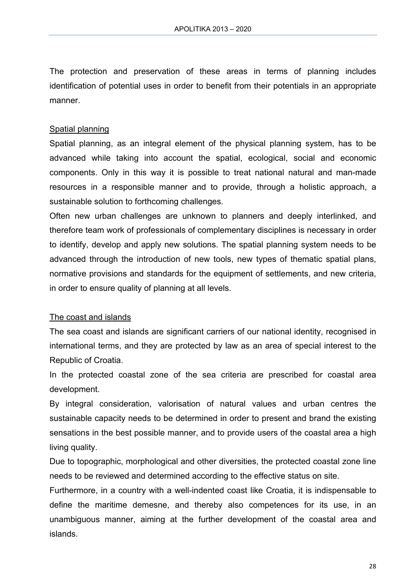The protection and preservation of these areas in terms of planning includes identification of potential uses in order to benefit from their potentials in an appropriate manner.

#### Spatial planning

Spatial planning, as an integral element of the physical planning system, has to be advanced while taking into account the spatial, ecological, social and economic components. Only in this way it is possible to treat national natural and man-made resources in a responsible manner and to provide, through a holistic approach, a sustainable solution to forthcoming challenges.

Often new urban challenges are unknown to planners and deeply interlinked, and therefore team work of professionals of complementary disciplines is necessary in order to identify, develop and apply new solutions. The spatial planning system needs to be advanced through the introduction of new tools, new types of thematic spatial plans, normative provisions and standards for the equipment of settlements, and new criteria, in order to ensure quality of planning at all levels.

#### The coast and islands

The sea coast and islands are significant carriers of our national identity, recognised in international terms, and they are protected by law as an area of special interest to the Republic of Croatia.

In the protected coastal zone of the sea criteria are prescribed for coastal area development.

By integral consideration, valorisation of natural values and urban centres the sustainable capacity needs to be determined in order to present and brand the existing sensations in the best possible manner, and to provide users of the coastal area a high living quality.

Due to topographic, morphological and other diversities, the protected coastal zone line needs to be reviewed and determined according to the effective status on site.

Furthermore, in a country with a well-indented coast like Croatia, it is indispensable to define the maritime demesne, and thereby also competences for its use, in an unambiguous manner, aiming at the further development of the coastal area and islands.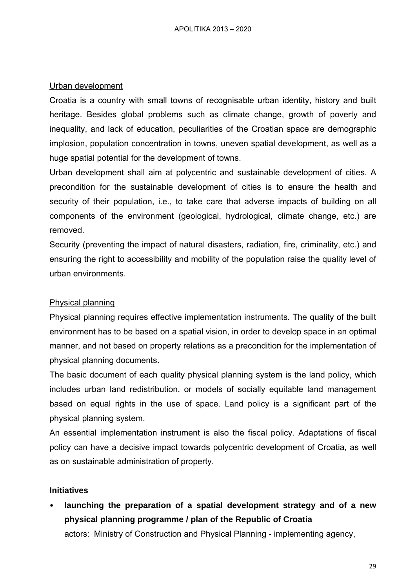#### Urban development

Croatia is a country with small towns of recognisable urban identity, history and built heritage. Besides global problems such as climate change, growth of poverty and inequality, and lack of education, peculiarities of the Croatian space are demographic implosion, population concentration in towns, uneven spatial development, as well as a huge spatial potential for the development of towns.

Urban development shall aim at polycentric and sustainable development of cities. A precondition for the sustainable development of cities is to ensure the health and security of their population, i.e., to take care that adverse impacts of building on all components of the environment (geological, hydrological, climate change, etc.) are removed.

Security (preventing the impact of natural disasters, radiation, fire, criminality, etc.) and ensuring the right to accessibility and mobility of the population raise the quality level of urban environments.

#### Physical planning

Physical planning requires effective implementation instruments. The quality of the built environment has to be based on a spatial vision, in order to develop space in an optimal manner, and not based on property relations as a precondition for the implementation of physical planning documents.

The basic document of each quality physical planning system is the land policy, which includes urban land redistribution, or models of socially equitable land management based on equal rights in the use of space. Land policy is a significant part of the physical planning system.

An essential implementation instrument is also the fiscal policy. Adaptations of fiscal policy can have a decisive impact towards polycentric development of Croatia, as well as on sustainable administration of property.

#### **Initiatives**

• **launching the preparation of a spatial development strategy and of a new physical planning programme / plan of the Republic of Croatia** 

actors: Ministry of Construction and Physical Planning - implementing agency,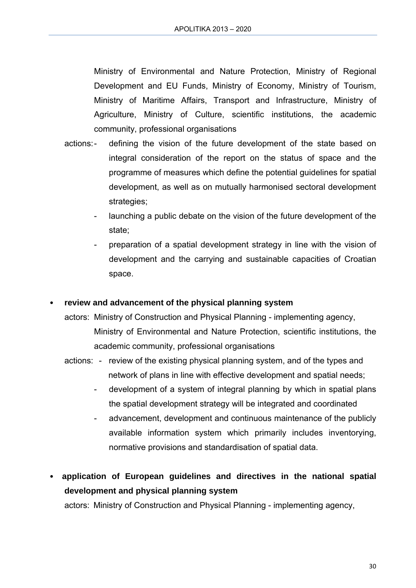Ministry of Environmental and Nature Protection, Ministry of Regional Development and EU Funds, Ministry of Economy, Ministry of Tourism, Ministry of Maritime Affairs, Transport and Infrastructure, Ministry of Agriculture, Ministry of Culture, scientific institutions, the academic community, professional organisations

- actions: defining the vision of the future development of the state based on integral consideration of the report on the status of space and the programme of measures which define the potential guidelines for spatial development, as well as on mutually harmonised sectoral development strategies;
	- launching a public debate on the vision of the future development of the state;
	- preparation of a spatial development strategy in line with the vision of development and the carrying and sustainable capacities of Croatian space.

#### • **review and advancement of the physical planning system**

- actors: Ministry of Construction and Physical Planning implementing agency, Ministry of Environmental and Nature Protection, scientific institutions, the academic community, professional organisations
- actions: review of the existing physical planning system, and of the types and network of plans in line with effective development and spatial needs;
	- development of a system of integral planning by which in spatial plans the spatial development strategy will be integrated and coordinated
	- advancement, development and continuous maintenance of the publicly available information system which primarily includes inventorying, normative provisions and standardisation of spatial data.

• **application of European guidelines and directives in the national spatial development and physical planning system** 

actors: Ministry of Construction and Physical Planning - implementing agency,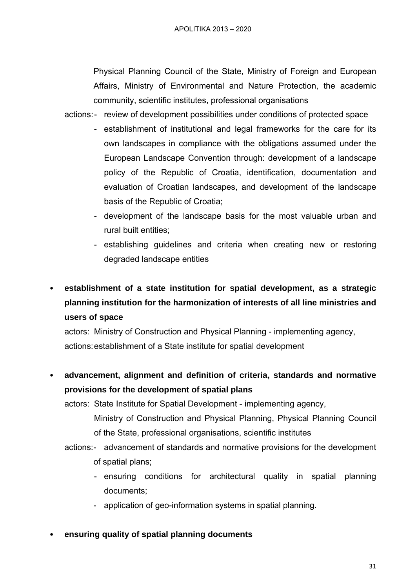Physical Planning Council of the State, Ministry of Foreign and European Affairs, Ministry of Environmental and Nature Protection, the academic community, scientific institutes, professional organisations

actions: - review of development possibilities under conditions of protected space

- establishment of institutional and legal frameworks for the care for its own landscapes in compliance with the obligations assumed under the European Landscape Convention through: development of a landscape policy of the Republic of Croatia, identification, documentation and evaluation of Croatian landscapes, and development of the landscape basis of the Republic of Croatia;
- development of the landscape basis for the most valuable urban and rural built entities;
- establishing guidelines and criteria when creating new or restoring degraded landscape entities

• **establishment of a state institution for spatial development, as a strategic planning institution for the harmonization of interests of all line ministries and users of space** 

actors: Ministry of Construction and Physical Planning - implementing agency, actions: establishment of a State institute for spatial development

• **advancement, alignment and definition of criteria, standards and normative provisions for the development of spatial plans** 

actors: State Institute for Spatial Development - implementing agency,

- Ministry of Construction and Physical Planning, Physical Planning Council of the State, professional organisations, scientific institutes
- actions: advancement of standards and normative provisions for the development of spatial plans;
	- ensuring conditions for architectural quality in spatial planning documents;
	- application of geo-information systems in spatial planning.
- **ensuring quality of spatial planning documents**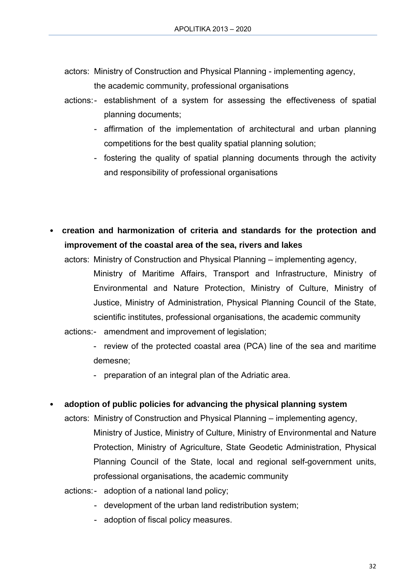- actors: Ministry of Construction and Physical Planning implementing agency, the academic community, professional organisations
- actions: establishment of a system for assessing the effectiveness of spatial planning documents;
	- affirmation of the implementation of architectural and urban planning competitions for the best quality spatial planning solution;
	- fostering the quality of spatial planning documents through the activity and responsibility of professional organisations
- **creation and harmonization of criteria and standards for the protection and improvement of the coastal area of the sea, rivers and lakes** 
	- actors: Ministry of Construction and Physical Planning implementing agency, Ministry of Maritime Affairs, Transport and Infrastructure, Ministry of Environmental and Nature Protection, Ministry of Culture, Ministry of Justice, Ministry of Administration, Physical Planning Council of the State, scientific institutes, professional organisations, the academic community
	- actions: amendment and improvement of legislation;
		- review of the protected coastal area (PCA) line of the sea and maritime demesne;
		- preparation of an integral plan of the Adriatic area.
- **adoption of public policies for advancing the physical planning system** 
	- actors: Ministry of Construction and Physical Planning implementing agency, Ministry of Justice, Ministry of Culture, Ministry of Environmental and Nature Protection, Ministry of Agriculture, State Geodetic Administration, Physical Planning Council of the State, local and regional self-government units, professional organisations, the academic community
	- actions:- adoption of a national land policy;
		- development of the urban land redistribution system;
		- adoption of fiscal policy measures.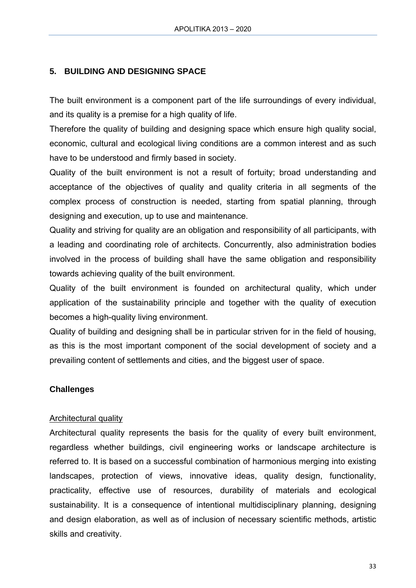### **5. BUILDING AND DESIGNING SPACE**

The built environment is a component part of the life surroundings of every individual, and its quality is a premise for a high quality of life.

Therefore the quality of building and designing space which ensure high quality social, economic, cultural and ecological living conditions are a common interest and as such have to be understood and firmly based in society.

Quality of the built environment is not a result of fortuity; broad understanding and acceptance of the objectives of quality and quality criteria in all segments of the complex process of construction is needed, starting from spatial planning, through designing and execution, up to use and maintenance.

Quality and striving for quality are an obligation and responsibility of all participants, with a leading and coordinating role of architects. Concurrently, also administration bodies involved in the process of building shall have the same obligation and responsibility towards achieving quality of the built environment.

Quality of the built environment is founded on architectural quality, which under application of the sustainability principle and together with the quality of execution becomes a high-quality living environment.

Quality of building and designing shall be in particular striven for in the field of housing, as this is the most important component of the social development of society and a prevailing content of settlements and cities, and the biggest user of space.

#### **Challenges**

#### Architectural quality

Architectural quality represents the basis for the quality of every built environment, regardless whether buildings, civil engineering works or landscape architecture is referred to. It is based on a successful combination of harmonious merging into existing landscapes, protection of views, innovative ideas, quality design, functionality, practicality, effective use of resources, durability of materials and ecological sustainability. It is a consequence of intentional multidisciplinary planning, designing and design elaboration, as well as of inclusion of necessary scientific methods, artistic skills and creativity.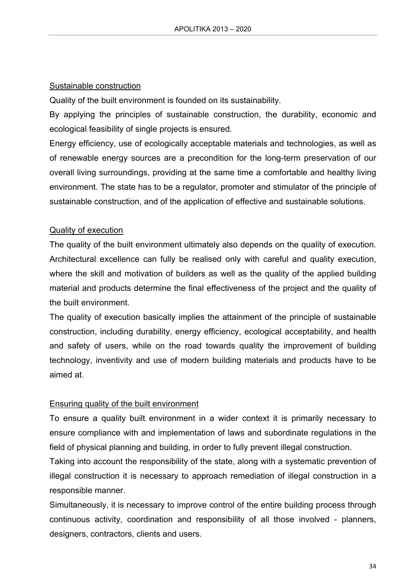### Sustainable construction

Quality of the built environment is founded on its sustainability.

By applying the principles of sustainable construction, the durability, economic and ecological feasibility of single projects is ensured.

Energy efficiency, use of ecologically acceptable materials and technologies, as well as of renewable energy sources are a precondition for the long-term preservation of our overall living surroundings, providing at the same time a comfortable and healthy living environment. The state has to be a regulator, promoter and stimulator of the principle of sustainable construction, and of the application of effective and sustainable solutions.

### Quality of execution

The quality of the built environment ultimately also depends on the quality of execution. Architectural excellence can fully be realised only with careful and quality execution, where the skill and motivation of builders as well as the quality of the applied building material and products determine the final effectiveness of the project and the quality of the built environment.

The quality of execution basically implies the attainment of the principle of sustainable construction, including durability, energy efficiency, ecological acceptability, and health and safety of users, while on the road towards quality the improvement of building technology, inventivity and use of modern building materials and products have to be aimed at.

### Ensuring quality of the built environment

To ensure a quality built environment in a wider context it is primarily necessary to ensure compliance with and implementation of laws and subordinate regulations in the field of physical planning and building, in order to fully prevent illegal construction.

Taking into account the responsibility of the state, along with a systematic prevention of illegal construction it is necessary to approach remediation of illegal construction in a responsible manner.

Simultaneously, it is necessary to improve control of the entire building process through continuous activity, coordination and responsibility of all those involved - planners, designers, contractors, clients and users.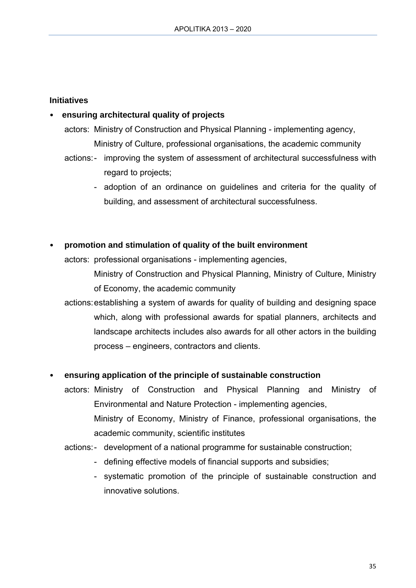#### **Initiatives**

#### • **ensuring architectural quality of projects**

- actors: Ministry of Construction and Physical Planning implementing agency, Ministry of Culture, professional organisations, the academic community
- actions: improving the system of assessment of architectural successfulness with regard to projects;
	- adoption of an ordinance on guidelines and criteria for the quality of building, and assessment of architectural successfulness.

#### • **promotion and stimulation of quality of the built environment**

actors: professional organisations - implementing agencies,

Ministry of Construction and Physical Planning, Ministry of Culture, Ministry of Economy, the academic community

actions: establishing a system of awards for quality of building and designing space which, along with professional awards for spatial planners, architects and landscape architects includes also awards for all other actors in the building process – engineers, contractors and clients.

#### • **ensuring application of the principle of sustainable construction**

- actors: Ministry of Construction and Physical Planning and Ministry of Environmental and Nature Protection - implementing agencies, Ministry of Economy, Ministry of Finance, professional organisations, the academic community, scientific institutes
- actions: development of a national programme for sustainable construction;
	- defining effective models of financial supports and subsidies;
	- systematic promotion of the principle of sustainable construction and innovative solutions.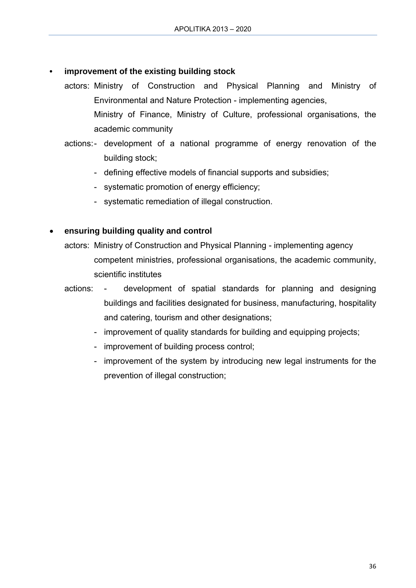#### **• improvement of the existing building stock**

- actors: Ministry of Construction and Physical Planning and Ministry of Environmental and Nature Protection - implementing agencies, Ministry of Finance, Ministry of Culture, professional organisations, the academic community
- actions: development of a national programme of energy renovation of the building stock;
	- defining effective models of financial supports and subsidies;
	- systematic promotion of energy efficiency;
	- systematic remediation of illegal construction.

# **ensuring building quality and control**

actors: Ministry of Construction and Physical Planning - implementing agency competent ministries, professional organisations, the academic community, scientific institutes

# actions: - development of spatial standards for planning and designing buildings and facilities designated for business, manufacturing, hospitality and catering, tourism and other designations;

- improvement of quality standards for building and equipping projects;
- improvement of building process control;
- improvement of the system by introducing new legal instruments for the prevention of illegal construction;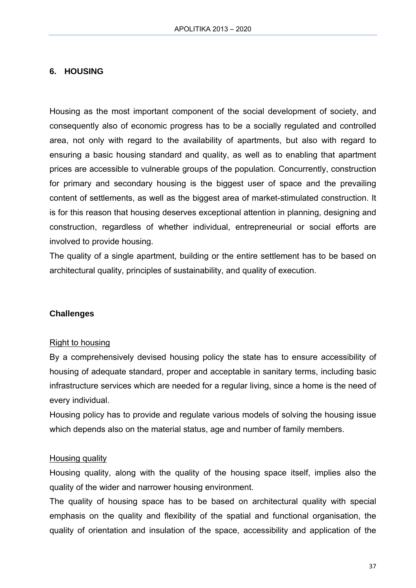### **6. HOUSING**

Housing as the most important component of the social development of society, and consequently also of economic progress has to be a socially regulated and controlled area, not only with regard to the availability of apartments, but also with regard to ensuring a basic housing standard and quality, as well as to enabling that apartment prices are accessible to vulnerable groups of the population. Concurrently, construction for primary and secondary housing is the biggest user of space and the prevailing content of settlements, as well as the biggest area of market-stimulated construction. It is for this reason that housing deserves exceptional attention in planning, designing and construction, regardless of whether individual, entrepreneurial or social efforts are involved to provide housing.

The quality of a single apartment, building or the entire settlement has to be based on architectural quality, principles of sustainability, and quality of execution.

#### **Challenges**

#### Right to housing

By a comprehensively devised housing policy the state has to ensure accessibility of housing of adequate standard, proper and acceptable in sanitary terms, including basic infrastructure services which are needed for a regular living, since a home is the need of every individual.

Housing policy has to provide and regulate various models of solving the housing issue which depends also on the material status, age and number of family members.

#### Housing quality

Housing quality, along with the quality of the housing space itself, implies also the quality of the wider and narrower housing environment.

The quality of housing space has to be based on architectural quality with special emphasis on the quality and flexibility of the spatial and functional organisation, the quality of orientation and insulation of the space, accessibility and application of the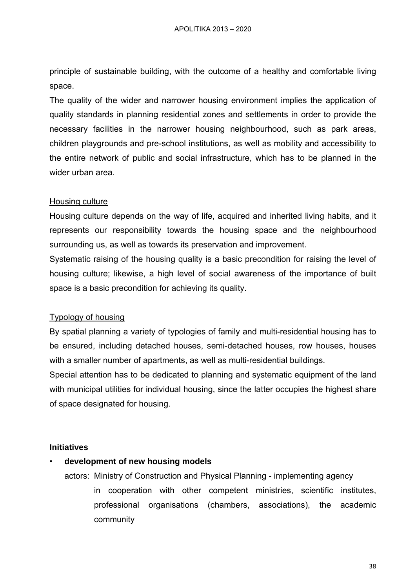principle of sustainable building, with the outcome of a healthy and comfortable living space.

The quality of the wider and narrower housing environment implies the application of quality standards in planning residential zones and settlements in order to provide the necessary facilities in the narrower housing neighbourhood, such as park areas, children playgrounds and pre-school institutions, as well as mobility and accessibility to the entire network of public and social infrastructure, which has to be planned in the wider urban area.

#### Housing culture

Housing culture depends on the way of life, acquired and inherited living habits, and it represents our responsibility towards the housing space and the neighbourhood surrounding us, as well as towards its preservation and improvement.

Systematic raising of the housing quality is a basic precondition for raising the level of housing culture; likewise, a high level of social awareness of the importance of built space is a basic precondition for achieving its quality.

#### Typology of housing

By spatial planning a variety of typologies of family and multi-residential housing has to be ensured, including detached houses, semi-detached houses, row houses, houses with a smaller number of apartments, as well as multi-residential buildings.

Special attention has to be dedicated to planning and systematic equipment of the land with municipal utilities for individual housing, since the latter occupies the highest share of space designated for housing.

#### **Initiatives**

#### • **development of new housing models**

- actors: Ministry of Construction and Physical Planning implementing agency
	- in cooperation with other competent ministries, scientific institutes, professional organisations (chambers, associations), the academic community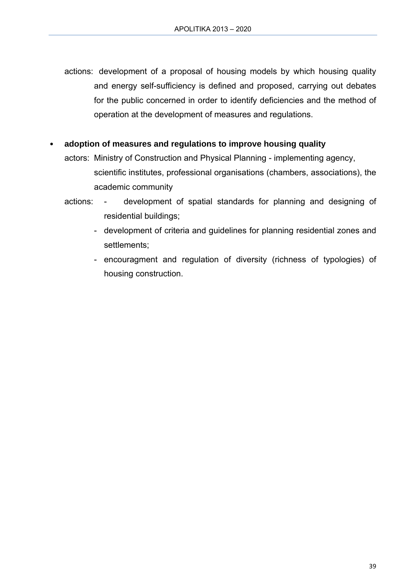- actions: development of a proposal of housing models by which housing quality and energy self-sufficiency is defined and proposed, carrying out debates for the public concerned in order to identify deficiencies and the method of operation at the development of measures and regulations.
- **adoption of measures and regulations to improve housing quality** 
	- actors: Ministry of Construction and Physical Planning implementing agency, scientific institutes, professional organisations (chambers, associations), the academic community
	- actions: development of spatial standards for planning and designing of residential buildings;
		- development of criteria and guidelines for planning residential zones and settlements;
		- encouragment and regulation of diversity (richness of typologies) of housing construction.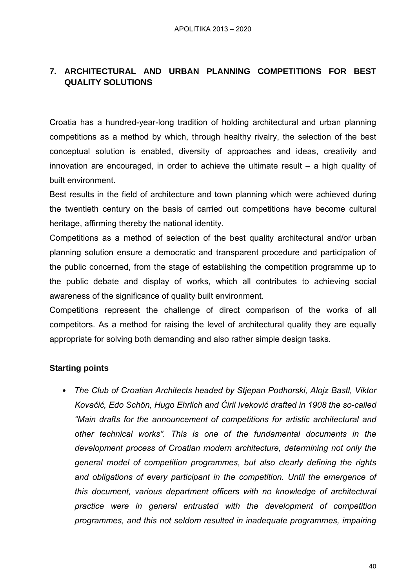# **7. ARCHITECTURAL AND URBAN PLANNING COMPETITIONS FOR BEST QUALITY SOLUTIONS**

Croatia has a hundred-year-long tradition of holding architectural and urban planning competitions as a method by which, through healthy rivalry, the selection of the best conceptual solution is enabled, diversity of approaches and ideas, creativity and innovation are encouraged, in order to achieve the ultimate result – a high quality of built environment.

Best results in the field of architecture and town planning which were achieved during the twentieth century on the basis of carried out competitions have become cultural heritage, affirming thereby the national identity.

Competitions as a method of selection of the best quality architectural and/or urban planning solution ensure a democratic and transparent procedure and participation of the public concerned, from the stage of establishing the competition programme up to the public debate and display of works, which all contributes to achieving social awareness of the significance of quality built environment.

Competitions represent the challenge of direct comparison of the works of all competitors. As a method for raising the level of architectural quality they are equally appropriate for solving both demanding and also rather simple design tasks.

### **Starting points**

• *The Club of Croatian Architects headed by Stjepan Podhorski, Alojz Bastl, Viktor Kovačić, Edo Schön, Hugo Ehrlich and Ćiril Iveković drafted in 1908 the so-called "Main drafts for the announcement of competitions for artistic architectural and other technical works". This is one of the fundamental documents in the development process of Croatian modern architecture, determining not only the general model of competition programmes, but also clearly defining the rights and obligations of every participant in the competition. Until the emergence of this document, various department officers with no knowledge of architectural practice were in general entrusted with the development of competition programmes, and this not seldom resulted in inadequate programmes, impairing*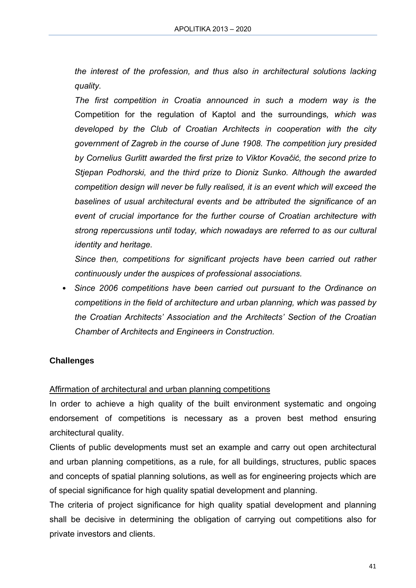*the interest of the profession, and thus also in architectural solutions lacking quality.* 

*The first competition in Croatia announced in such a modern way is the*  Competition for the regulation of Kaptol and the surroundings*, which was developed by the Club of Croatian Architects in cooperation with the city government of Zagreb in the course of June 1908. The competition jury presided by Cornelius Gurlitt awarded the first prize to Viktor Kovačić, the second prize to Stjepan Podhorski, and the third prize to Dioniz Sunko. Although the awarded competition design will never be fully realised, it is an event which will exceed the baselines of usual architectural events and be attributed the significance of an event of crucial importance for the further course of Croatian architecture with strong repercussions until today, which nowadays are referred to as our cultural identity and heritage.* 

*Since then, competitions for significant projects have been carried out rather continuously under the auspices of professional associations.* 

• *Since 2006 competitions have been carried out pursuant to the Ordinance on competitions in the field of architecture and urban planning, which was passed by the Croatian Architects' Association and the Architects' Section of the Croatian Chamber of Architects and Engineers in Construction.* 

### **Challenges**

### Affirmation of architectural and urban planning competitions

In order to achieve a high quality of the built environment systematic and ongoing endorsement of competitions is necessary as a proven best method ensuring architectural quality.

Clients of public developments must set an example and carry out open architectural and urban planning competitions, as a rule, for all buildings, structures, public spaces and concepts of spatial planning solutions, as well as for engineering projects which are of special significance for high quality spatial development and planning.

The criteria of project significance for high quality spatial development and planning shall be decisive in determining the obligation of carrying out competitions also for private investors and clients.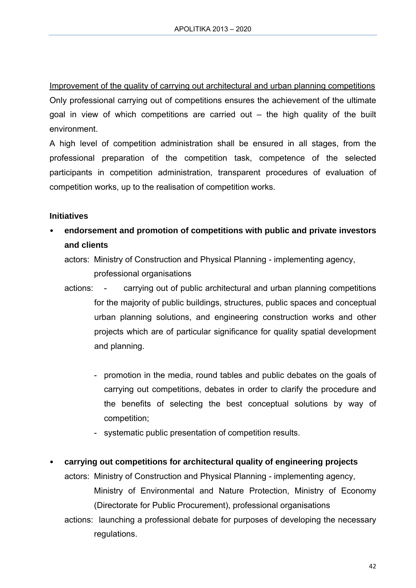Improvement of the quality of carrying out architectural and urban planning competitions Only professional carrying out of competitions ensures the achievement of the ultimate goal in view of which competitions are carried out – the high quality of the built environment.

A high level of competition administration shall be ensured in all stages, from the professional preparation of the competition task, competence of the selected participants in competition administration, transparent procedures of evaluation of competition works, up to the realisation of competition works.

#### **Initiatives**

- **endorsement and promotion of competitions with public and private investors and clients** 
	- actors: Ministry of Construction and Physical Planning implementing agency, professional organisations
	- actions: carrying out of public architectural and urban planning competitions for the majority of public buildings, structures, public spaces and conceptual urban planning solutions, and engineering construction works and other projects which are of particular significance for quality spatial development and planning.
		- promotion in the media, round tables and public debates on the goals of carrying out competitions, debates in order to clarify the procedure and the benefits of selecting the best conceptual solutions by way of competition;
		- systematic public presentation of competition results.
- **carrying out competitions for architectural quality of engineering projects** 
	- actors: Ministry of Construction and Physical Planning implementing agency, Ministry of Environmental and Nature Protection, Ministry of Economy (Directorate for Public Procurement), professional organisations
	- actions: launching a professional debate for purposes of developing the necessary regulations.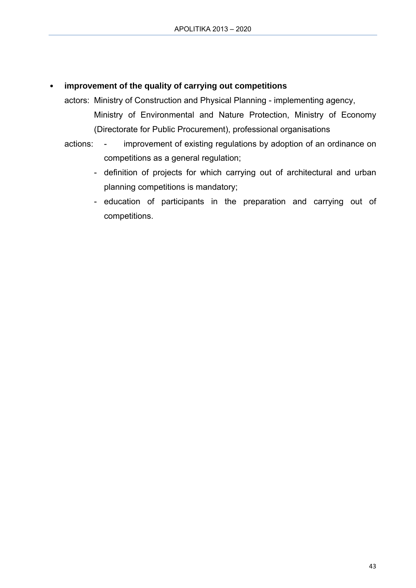### • **improvement of the quality of carrying out competitions**

- actors: Ministry of Construction and Physical Planning implementing agency, Ministry of Environmental and Nature Protection, Ministry of Economy (Directorate for Public Procurement), professional organisations
- actions: improvement of existing regulations by adoption of an ordinance on competitions as a general regulation;
	- definition of projects for which carrying out of architectural and urban planning competitions is mandatory;
	- education of participants in the preparation and carrying out of competitions.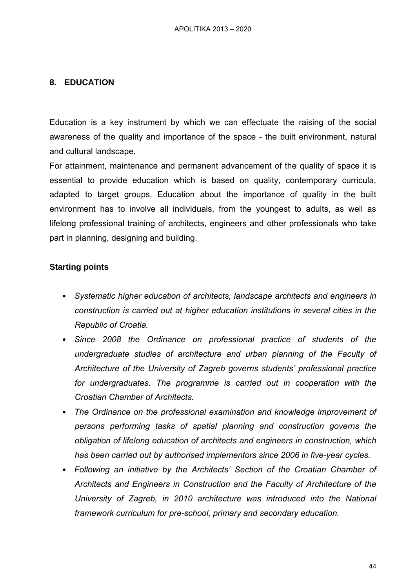### **8. EDUCATION**

Education is a key instrument by which we can effectuate the raising of the social awareness of the quality and importance of the space - the built environment, natural and cultural landscape.

For attainment, maintenance and permanent advancement of the quality of space it is essential to provide education which is based on quality, contemporary curricula, adapted to target groups. Education about the importance of quality in the built environment has to involve all individuals, from the youngest to adults, as well as lifelong professional training of architects, engineers and other professionals who take part in planning, designing and building.

#### **Starting points**

- *Systematic higher education of architects, landscape architects and engineers in construction is carried out at higher education institutions in several cities in the Republic of Croatia.*
- *Since 2008 the Ordinance on professional practice of students of the undergraduate studies of architecture and urban planning of the Faculty of Architecture of the University of Zagreb governs students' professional practice*  for undergraduates. The programme is carried out in cooperation with the *Croatian Chamber of Architects.*
- *The Ordinance on the professional examination and knowledge improvement of persons performing tasks of spatial planning and construction governs the obligation of lifelong education of architects and engineers in construction, which has been carried out by authorised implementors since 2006 in five-year cycles.*
- *Following an initiative by the Architects' Section of the Croatian Chamber of Architects and Engineers in Construction and the Faculty of Architecture of the University of Zagreb, in 2010 architecture was introduced into the National framework curriculum for pre-school, primary and secondary education.*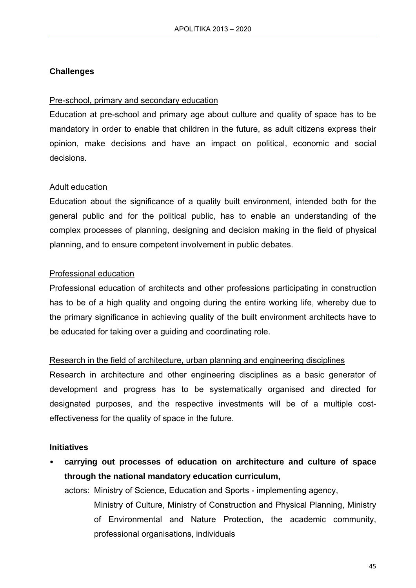#### **Challenges**

#### Pre-school, primary and secondary education

Education at pre-school and primary age about culture and quality of space has to be mandatory in order to enable that children in the future, as adult citizens express their opinion, make decisions and have an impact on political, economic and social decisions.

#### Adult education

Education about the significance of a quality built environment, intended both for the general public and for the political public, has to enable an understanding of the complex processes of planning, designing and decision making in the field of physical planning, and to ensure competent involvement in public debates.

#### Professional education

Professional education of architects and other professions participating in construction has to be of a high quality and ongoing during the entire working life, whereby due to the primary significance in achieving quality of the built environment architects have to be educated for taking over a guiding and coordinating role.

#### Research in the field of architecture, urban planning and engineering disciplines

Research in architecture and other engineering disciplines as a basic generator of development and progress has to be systematically organised and directed for designated purposes, and the respective investments will be of a multiple costeffectiveness for the quality of space in the future.

#### **Initiatives**

• **carrying out processes of education on architecture and culture of space through the national mandatory education curriculum,** 

actors: Ministry of Science, Education and Sports - implementing agency, Ministry of Culture, Ministry of Construction and Physical Planning, Ministry of Environmental and Nature Protection, the academic community, professional organisations, individuals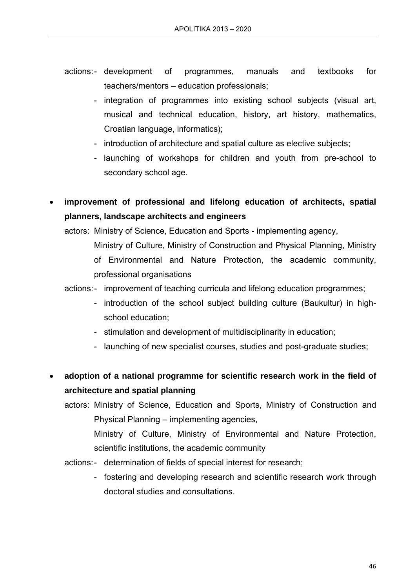- actions: development of programmes, manuals and textbooks for teachers/mentors – education professionals;
	- integration of programmes into existing school subjects (visual art, musical and technical education, history, art history, mathematics, Croatian language, informatics);
	- introduction of architecture and spatial culture as elective subjects;
	- launching of workshops for children and youth from pre-school to secondary school age.
- **improvement of professional and lifelong education of architects, spatial planners, landscape architects and engineers**
	- actors: Ministry of Science, Education and Sports implementing agency, Ministry of Culture, Ministry of Construction and Physical Planning, Ministry of Environmental and Nature Protection, the academic community, professional organisations
		- actions: improvement of teaching curricula and lifelong education programmes;
			- introduction of the school subject building culture (Baukultur) in highschool education;
			- stimulation and development of multidisciplinarity in education;
			- launching of new specialist courses, studies and post-graduate studies;
- **adoption of a national programme for scientific research work in the field of architecture and spatial planning** 
	- actors: Ministry of Science, Education and Sports, Ministry of Construction and Physical Planning – implementing agencies,
		- Ministry of Culture, Ministry of Environmental and Nature Protection, scientific institutions, the academic community
	- actions: determination of fields of special interest for research:
		- fostering and developing research and scientific research work through doctoral studies and consultations.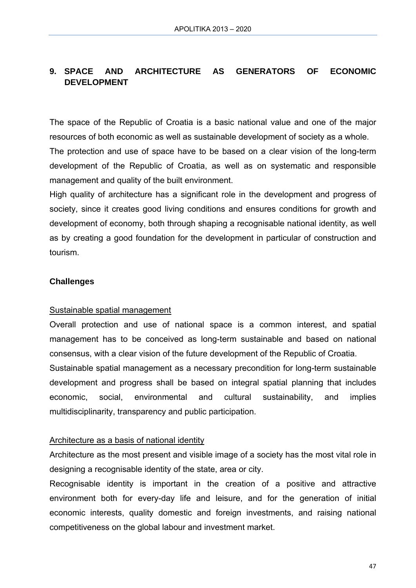# **9. SPACE AND ARCHITECTURE AS GENERATORS OF ECONOMIC DEVELOPMENT**

The space of the Republic of Croatia is a basic national value and one of the major resources of both economic as well as sustainable development of society as a whole. The protection and use of space have to be based on a clear vision of the long-term development of the Republic of Croatia, as well as on systematic and responsible management and quality of the built environment.

High quality of architecture has a significant role in the development and progress of society, since it creates good living conditions and ensures conditions for growth and development of economy, both through shaping a recognisable national identity, as well as by creating a good foundation for the development in particular of construction and tourism.

#### **Challenges**

#### Sustainable spatial management

Overall protection and use of national space is a common interest, and spatial management has to be conceived as long-term sustainable and based on national consensus, with a clear vision of the future development of the Republic of Croatia.

Sustainable spatial management as a necessary precondition for long-term sustainable development and progress shall be based on integral spatial planning that includes economic, social, environmental and cultural sustainability, and implies multidisciplinarity, transparency and public participation.

#### Architecture as a basis of national identity

Architecture as the most present and visible image of a society has the most vital role in designing a recognisable identity of the state, area or city.

Recognisable identity is important in the creation of a positive and attractive environment both for every-day life and leisure, and for the generation of initial economic interests, quality domestic and foreign investments, and raising national competitiveness on the global labour and investment market.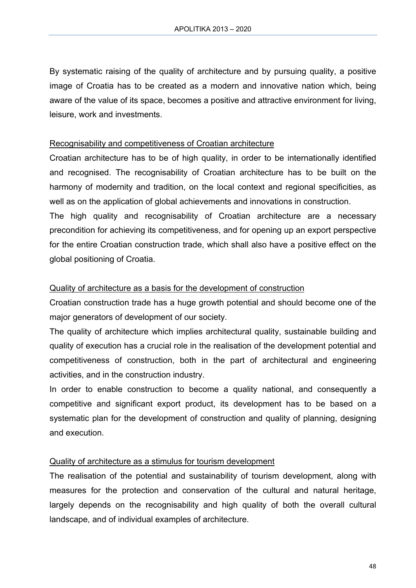By systematic raising of the quality of architecture and by pursuing quality, a positive image of Croatia has to be created as a modern and innovative nation which, being aware of the value of its space, becomes a positive and attractive environment for living, leisure, work and investments.

#### Recognisability and competitiveness of Croatian architecture

Croatian architecture has to be of high quality, in order to be internationally identified and recognised. The recognisability of Croatian architecture has to be built on the harmony of modernity and tradition, on the local context and regional specificities, as well as on the application of global achievements and innovations in construction.

The high quality and recognisability of Croatian architecture are a necessary precondition for achieving its competitiveness, and for opening up an export perspective for the entire Croatian construction trade, which shall also have a positive effect on the global positioning of Croatia.

#### Quality of architecture as a basis for the development of construction

Croatian construction trade has a huge growth potential and should become one of the major generators of development of our society.

The quality of architecture which implies architectural quality, sustainable building and quality of execution has a crucial role in the realisation of the development potential and competitiveness of construction, both in the part of architectural and engineering activities, and in the construction industry.

In order to enable construction to become a quality national, and consequently a competitive and significant export product, its development has to be based on a systematic plan for the development of construction and quality of planning, designing and execution.

#### Quality of architecture as a stimulus for tourism development

The realisation of the potential and sustainability of tourism development, along with measures for the protection and conservation of the cultural and natural heritage, largely depends on the recognisability and high quality of both the overall cultural landscape, and of individual examples of architecture.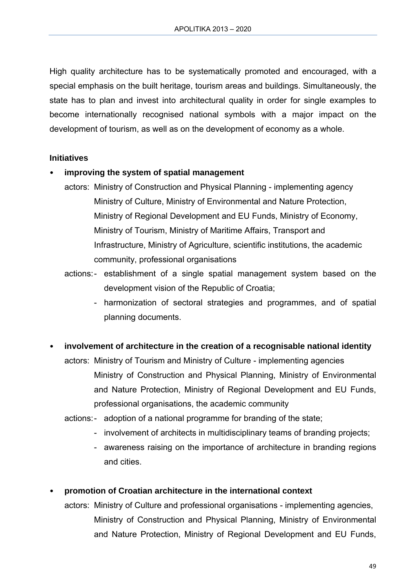High quality architecture has to be systematically promoted and encouraged, with a special emphasis on the built heritage, tourism areas and buildings. Simultaneously, the state has to plan and invest into architectural quality in order for single examples to become internationally recognised national symbols with a major impact on the development of tourism, as well as on the development of economy as a whole.

#### **Initiatives**

#### • **improving the system of spatial management**

- actors: Ministry of Construction and Physical Planning implementing agency Ministry of Culture, Ministry of Environmental and Nature Protection, Ministry of Regional Development and EU Funds, Ministry of Economy, Ministry of Tourism, Ministry of Maritime Affairs, Transport and Infrastructure, Ministry of Agriculture, scientific institutions, the academic community, professional organisations
- actions: establishment of a single spatial management system based on the development vision of the Republic of Croatia;
	- harmonization of sectoral strategies and programmes, and of spatial planning documents.
- **involvement of architecture in the creation of a recognisable national identity**

actors: Ministry of Tourism and Ministry of Culture - implementing agencies Ministry of Construction and Physical Planning, Ministry of Environmental and Nature Protection, Ministry of Regional Development and EU Funds, professional organisations, the academic community

- actions: adoption of a national programme for branding of the state;
	- involvement of architects in multidisciplinary teams of branding projects;
	- awareness raising on the importance of architecture in branding regions and cities.

#### • **promotion of Croatian architecture in the international context**

actors: Ministry of Culture and professional organisations - implementing agencies, Ministry of Construction and Physical Planning, Ministry of Environmental and Nature Protection, Ministry of Regional Development and EU Funds,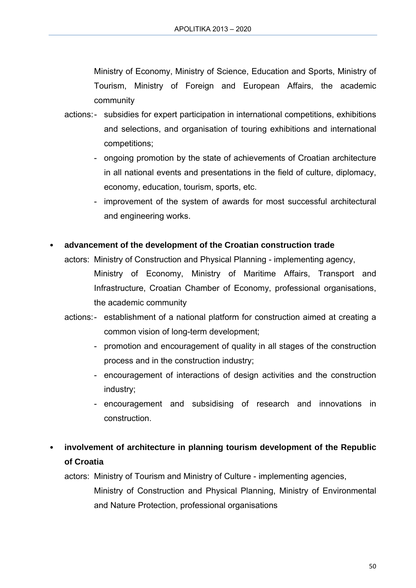Ministry of Economy, Ministry of Science, Education and Sports, Ministry of Tourism, Ministry of Foreign and European Affairs, the academic community

- actions: subsidies for expert participation in international competitions, exhibitions and selections, and organisation of touring exhibitions and international competitions;
	- ongoing promotion by the state of achievements of Croatian architecture in all national events and presentations in the field of culture, diplomacy, economy, education, tourism, sports, etc.
	- improvement of the system of awards for most successful architectural and engineering works.

### • **advancement of the development of the Croatian construction trade**

- actors: Ministry of Construction and Physical Planning implementing agency, Ministry of Economy, Ministry of Maritime Affairs, Transport and Infrastructure, Croatian Chamber of Economy, professional organisations, the academic community
- actions: establishment of a national platform for construction aimed at creating a common vision of long-term development;
	- promotion and encouragement of quality in all stages of the construction process and in the construction industry;
	- encouragement of interactions of design activities and the construction industry;
	- encouragement and subsidising of research and innovations in construction.
- **involvement of architecture in planning tourism development of the Republic of Croatia**

actors: Ministry of Tourism and Ministry of Culture - implementing agencies,

Ministry of Construction and Physical Planning, Ministry of Environmental and Nature Protection, professional organisations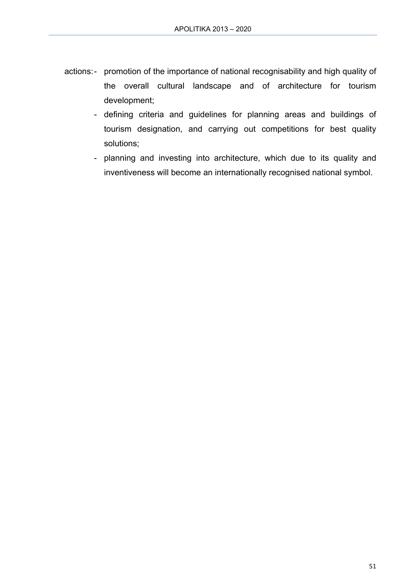- actions: promotion of the importance of national recognisability and high quality of the overall cultural landscape and of architecture for tourism development;
	- defining criteria and guidelines for planning areas and buildings of tourism designation, and carrying out competitions for best quality solutions;
	- planning and investing into architecture, which due to its quality and inventiveness will become an internationally recognised national symbol.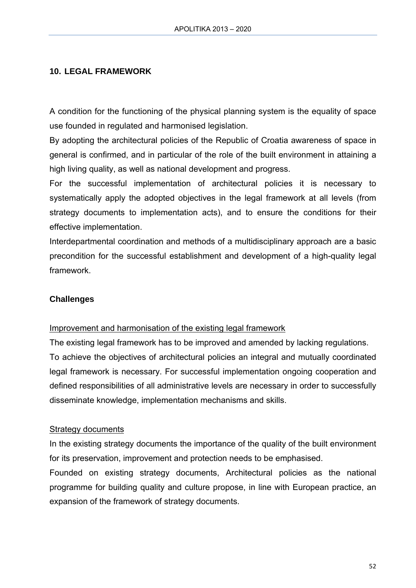#### **10. LEGAL FRAMEWORK**

A condition for the functioning of the physical planning system is the equality of space use founded in regulated and harmonised legislation.

By adopting the architectural policies of the Republic of Croatia awareness of space in general is confirmed, and in particular of the role of the built environment in attaining a high living quality, as well as national development and progress.

For the successful implementation of architectural policies it is necessary to systematically apply the adopted objectives in the legal framework at all levels (from strategy documents to implementation acts), and to ensure the conditions for their effective implementation.

Interdepartmental coordination and methods of a multidisciplinary approach are a basic precondition for the successful establishment and development of a high-quality legal framework.

#### **Challenges**

#### Improvement and harmonisation of the existing legal framework

The existing legal framework has to be improved and amended by lacking regulations. To achieve the objectives of architectural policies an integral and mutually coordinated legal framework is necessary. For successful implementation ongoing cooperation and defined responsibilities of all administrative levels are necessary in order to successfully disseminate knowledge, implementation mechanisms and skills.

#### Strategy documents

In the existing strategy documents the importance of the quality of the built environment for its preservation, improvement and protection needs to be emphasised.

Founded on existing strategy documents, Architectural policies as the national programme for building quality and culture propose, in line with European practice, an expansion of the framework of strategy documents.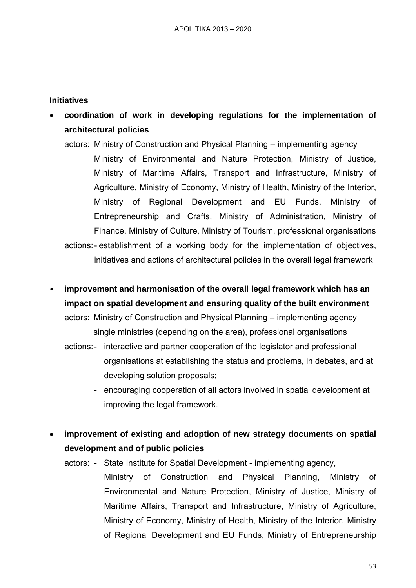#### **Initiatives**

- **coordination of work in developing regulations for the implementation of architectural policies** 
	- actors: Ministry of Construction and Physical Planning implementing agency Ministry of Environmental and Nature Protection, Ministry of Justice, Ministry of Maritime Affairs, Transport and Infrastructure, Ministry of Agriculture, Ministry of Economy, Ministry of Health, Ministry of the Interior, Ministry of Regional Development and EU Funds, Ministry of Entrepreneurship and Crafts, Ministry of Administration, Ministry of Finance, Ministry of Culture, Ministry of Tourism, professional organisations actions: - establishment of a working body for the implementation of objectives, initiatives and actions of architectural policies in the overall legal framework
- **improvement and harmonisation of the overall legal framework which has an impact on spatial development and ensuring quality of the built environment**  actors: Ministry of Construction and Physical Planning – implementing agency single ministries (depending on the area), professional organisations
	- actions: interactive and partner cooperation of the legislator and professional organisations at establishing the status and problems, in debates, and at developing solution proposals;
		- encouraging cooperation of all actors involved in spatial development at improving the legal framework.
- **improvement of existing and adoption of new strategy documents on spatial development and of public policies** 
	- actors: State Institute for Spatial Development implementing agency,
		- Ministry of Construction and Physical Planning, Ministry of Environmental and Nature Protection, Ministry of Justice, Ministry of Maritime Affairs, Transport and Infrastructure, Ministry of Agriculture, Ministry of Economy, Ministry of Health, Ministry of the Interior, Ministry of Regional Development and EU Funds, Ministry of Entrepreneurship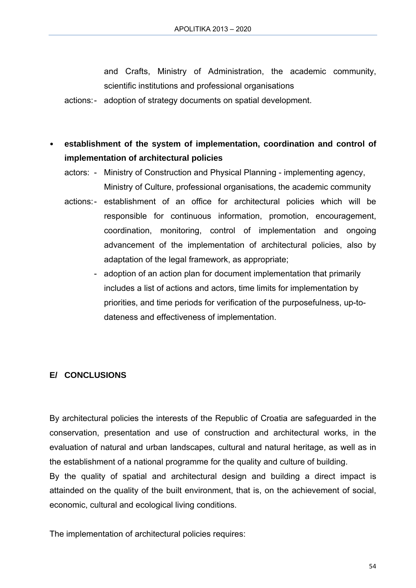and Crafts, Ministry of Administration, the academic community, scientific institutions and professional organisations

actions: - adoption of strategy documents on spatial development.

- **establishment of the system of implementation, coordination and control of implementation of architectural policies** 
	- actors: Ministry of Construction and Physical Planning implementing agency, Ministry of Culture, professional organisations, the academic community
	- actions: establishment of an office for architectural policies which will be responsible for continuous information, promotion, encouragement, coordination, monitoring, control of implementation and ongoing advancement of the implementation of architectural policies, also by adaptation of the legal framework, as appropriate;
		- adoption of an action plan for document implementation that primarily includes a list of actions and actors, time limits for implementation by priorities, and time periods for verification of the purposefulness, up-todateness and effectiveness of implementation.

# **E/ CONCLUSIONS**

By architectural policies the interests of the Republic of Croatia are safeguarded in the conservation, presentation and use of construction and architectural works, in the evaluation of natural and urban landscapes, cultural and natural heritage, as well as in the establishment of a national programme for the quality and culture of building. By the quality of spatial and architectural design and building a direct impact is attainded on the quality of the built environment, that is, on the achievement of social, economic, cultural and ecological living conditions.

The implementation of architectural policies requires: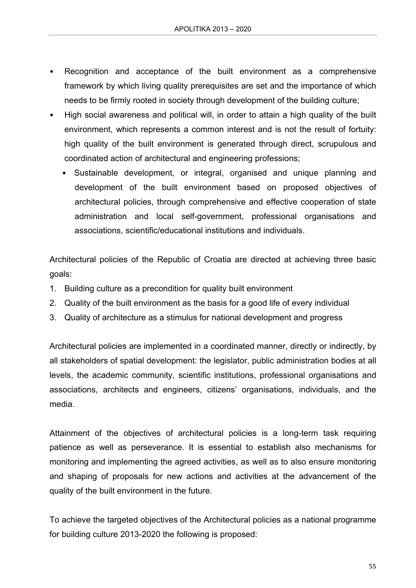- Recognition and acceptance of the built environment as a comprehensive framework by which living quality prerequisites are set and the importance of which needs to be firmly rooted in society through development of the building culture;
- High social awareness and political will, in order to attain a high quality of the built environment, which represents a common interest and is not the result of fortuity: high quality of the built environment is generated through direct, scrupulous and coordinated action of architectural and engineering professions;
	- Sustainable development, or integral, organised and unique planning and development of the built environment based on proposed objectives of architectural policies, through comprehensive and effective cooperation of state administration and local self-government, professional organisations and associations, scientific/educational institutions and individuals.

Architectural policies of the Republic of Croatia are directed at achieving three basic goals:

- 1. Building culture as a precondition for quality built environment
- 2. Quality of the built environment as the basis for a good life of every individual
- 3. Quality of architecture as a stimulus for national development and progress

Architectural policies are implemented in a coordinated manner, directly or indirectly, by all stakeholders of spatial development: the legislator, public administration bodies at all levels, the academic community, scientific institutions, professional organisations and associations, architects and engineers, citizens' organisations, individuals, and the media.

Attainment of the objectives of architectural policies is a long-term task requiring patience as well as perseverance. It is essential to establish also mechanisms for monitoring and implementing the agreed activities, as well as to also ensure monitoring and shaping of proposals for new actions and activities at the advancement of the quality of the built environment in the future.

To achieve the targeted objectives of the Architectural policies as a national programme for building culture 2013-2020 the following is proposed: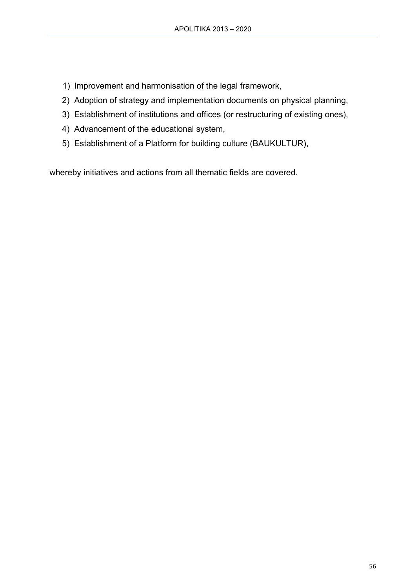- 1) Improvement and harmonisation of the legal framework,
- 2) Adoption of strategy and implementation documents on physical planning,
- 3) Establishment of institutions and offices (or restructuring of existing ones),
- 4) Advancement of the educational system,
- 5) Establishment of a Platform for building culture (BAUKULTUR),

whereby initiatives and actions from all thematic fields are covered.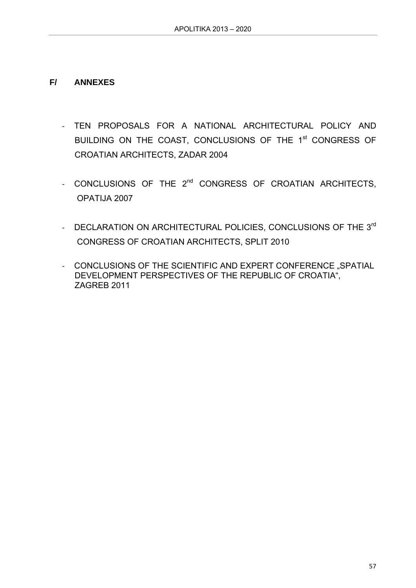### **F/ ANNEXES**

- ‐ TEN PROPOSALS FOR A NATIONAL ARCHITECTURAL POLICY AND BUILDING ON THE COAST, CONCLUSIONS OF THE 1<sup>st</sup> CONGRESS OF CROATIAN ARCHITECTS, ZADAR 2004
- CONCLUSIONS OF THE 2<sup>nd</sup> CONGRESS OF CROATIAN ARCHITECTS, OPATIJA 2007
- DECLARATION ON ARCHITECTURAL POLICIES, CONCLUSIONS OF THE 3rd CONGRESS OF CROATIAN ARCHITECTS, SPLIT 2010
- CONCLUSIONS OF THE SCIENTIFIC AND EXPERT CONFERENCE "SPATIAL DEVELOPMENT PERSPECTIVES OF THE REPUBLIC OF CROATIA", ZAGREB 2011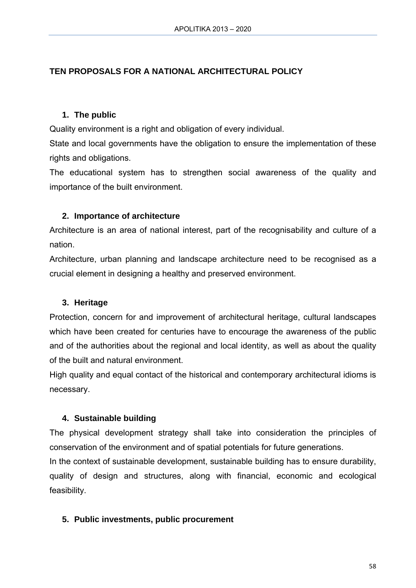### **TEN PROPOSALS FOR A NATIONAL ARCHITECTURAL POLICY**

#### **1. The public**

Quality environment is a right and obligation of every individual.

State and local governments have the obligation to ensure the implementation of these rights and obligations.

The educational system has to strengthen social awareness of the quality and importance of the built environment.

#### **2. Importance of architecture**

Architecture is an area of national interest, part of the recognisability and culture of a nation.

Architecture, urban planning and landscape architecture need to be recognised as a crucial element in designing a healthy and preserved environment.

#### **3. Heritage**

Protection, concern for and improvement of architectural heritage, cultural landscapes which have been created for centuries have to encourage the awareness of the public and of the authorities about the regional and local identity, as well as about the quality of the built and natural environment.

High quality and equal contact of the historical and contemporary architectural idioms is necessary.

#### **4. Sustainable building**

The physical development strategy shall take into consideration the principles of conservation of the environment and of spatial potentials for future generations.

In the context of sustainable development, sustainable building has to ensure durability, quality of design and structures, along with financial, economic and ecological feasibility.

#### **5. Public investments, public procurement**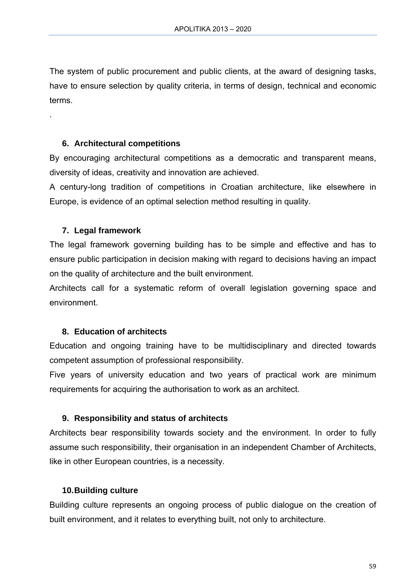The system of public procurement and public clients, at the award of designing tasks, have to ensure selection by quality criteria, in terms of design, technical and economic terms.

#### **6. Architectural competitions**

By encouraging architectural competitions as a democratic and transparent means, diversity of ideas, creativity and innovation are achieved.

A century-long tradition of competitions in Croatian architecture, like elsewhere in Europe, is evidence of an optimal selection method resulting in quality.

#### **7. Legal framework**

.

The legal framework governing building has to be simple and effective and has to ensure public participation in decision making with regard to decisions having an impact on the quality of architecture and the built environment.

Architects call for a systematic reform of overall legislation governing space and environment.

#### **8. Education of architects**

Education and ongoing training have to be multidisciplinary and directed towards competent assumption of professional responsibility.

Five years of university education and two years of practical work are minimum requirements for acquiring the authorisation to work as an architect.

#### **9. Responsibility and status of architects**

Architects bear responsibility towards society and the environment. In order to fully assume such responsibility, their organisation in an independent Chamber of Architects, like in other European countries, is a necessity.

#### **10. Building culture**

Building culture represents an ongoing process of public dialogue on the creation of built environment, and it relates to everything built, not only to architecture.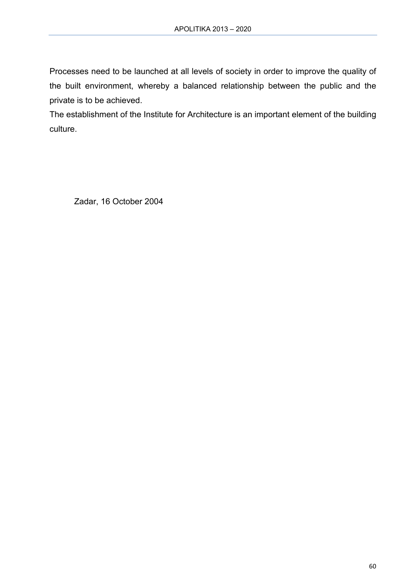Processes need to be launched at all levels of society in order to improve the quality of the built environment, whereby a balanced relationship between the public and the private is to be achieved.

The establishment of the Institute for Architecture is an important element of the building culture.

Zadar, 16 October 2004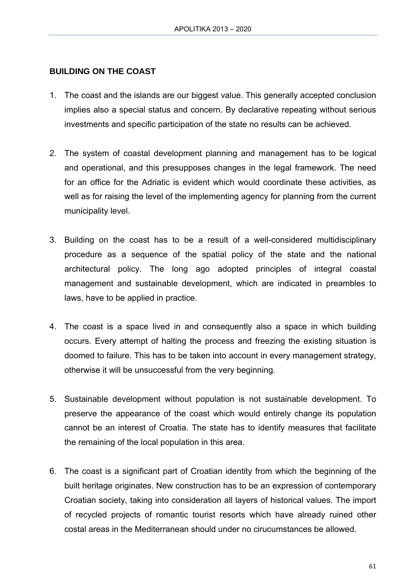#### **BUILDING ON THE COAST**

- 1. The coast and the islands are our biggest value. This generally accepted conclusion implies also a special status and concern. By declarative repeating without serious investments and specific participation of the state no results can be achieved.
- 2. The system of coastal development planning and management has to be logical and operational, and this presupposes changes in the legal framework. The need for an office for the Adriatic is evident which would coordinate these activities, as well as for raising the level of the implementing agency for planning from the current municipality level.
- 3. Building on the coast has to be a result of a well-considered multidisciplinary procedure as a sequence of the spatial policy of the state and the national architectural policy. The long ago adopted principles of integral coastal management and sustainable development, which are indicated in preambles to laws, have to be applied in practice.
- 4. The coast is a space lived in and consequently also a space in which building occurs. Every attempt of halting the process and freezing the existing situation is doomed to failure. This has to be taken into account in every management strategy, otherwise it will be unsuccessful from the very beginning.
- 5. Sustainable development without population is not sustainable development. To preserve the appearance of the coast which would entirely change its population cannot be an interest of Croatia. The state has to identify measures that facilitate the remaining of the local population in this area.
- 6. The coast is a significant part of Croatian identity from which the beginning of the built heritage originates. New construction has to be an expression of contemporary Croatian society, taking into consideration all layers of historical values. The import of recycled projects of romantic tourist resorts which have already ruined other costal areas in the Mediterranean should under no cirucumstances be allowed.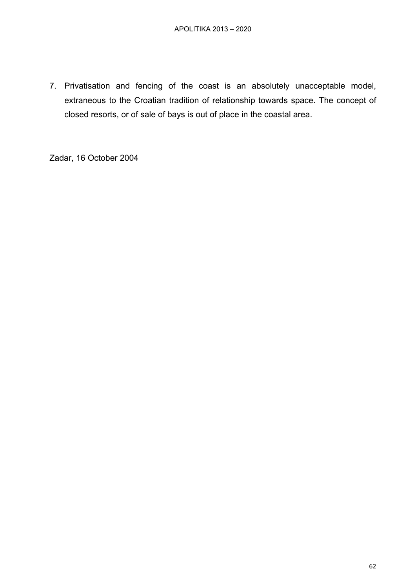7. Privatisation and fencing of the coast is an absolutely unacceptable model, extraneous to the Croatian tradition of relationship towards space. The concept of closed resorts, or of sale of bays is out of place in the coastal area.

Zadar, 16 October 2004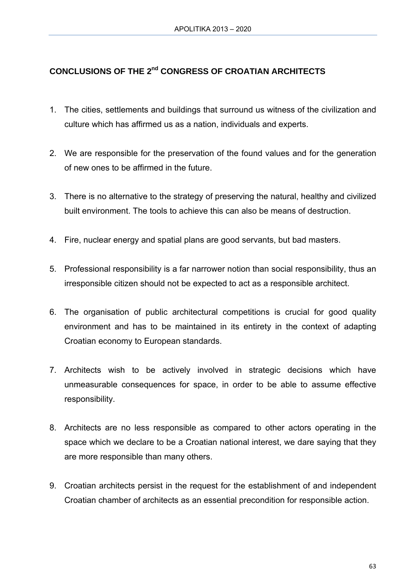# **CONCLUSIONS OF THE 2nd CONGRESS OF CROATIAN ARCHITECTS**

- 1. The cities, settlements and buildings that surround us witness of the civilization and culture which has affirmed us as a nation, individuals and experts.
- 2. We are responsible for the preservation of the found values and for the generation of new ones to be affirmed in the future.
- 3. There is no alternative to the strategy of preserving the natural, healthy and civilized built environment. The tools to achieve this can also be means of destruction.
- 4. Fire, nuclear energy and spatial plans are good servants, but bad masters.
- 5. Professional responsibility is a far narrower notion than social responsibility, thus an irresponsible citizen should not be expected to act as a responsible architect.
- 6. The organisation of public architectural competitions is crucial for good quality environment and has to be maintained in its entirety in the context of adapting Croatian economy to European standards.
- 7. Architects wish to be actively involved in strategic decisions which have unmeasurable consequences for space, in order to be able to assume effective responsibility.
- 8. Architects are no less responsible as compared to other actors operating in the space which we declare to be a Croatian national interest, we dare saying that they are more responsible than many others.
- 9. Croatian architects persist in the request for the establishment of and independent Croatian chamber of architects as an essential precondition for responsible action.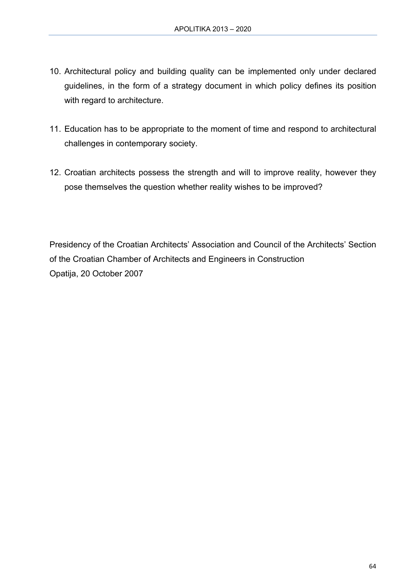- 10. Architectural policy and building quality can be implemented only under declared guidelines, in the form of a strategy document in which policy defines its position with regard to architecture.
- 11. Education has to be appropriate to the moment of time and respond to architectural challenges in contemporary society.
- 12. Croatian architects possess the strength and will to improve reality, however they pose themselves the question whether reality wishes to be improved?

Presidency of the Croatian Architects' Association and Council of the Architects' Section of the Croatian Chamber of Architects and Engineers in Construction Opatija, 20 October 2007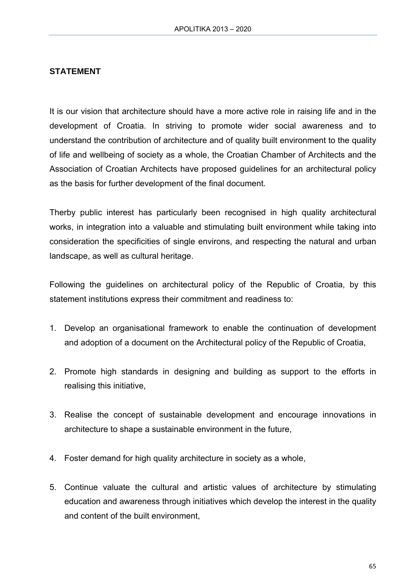#### **STATEMENT**

It is our vision that architecture should have a more active role in raising life and in the development of Croatia. In striving to promote wider social awareness and to understand the contribution of architecture and of quality built environment to the quality of life and wellbeing of society as a whole, the Croatian Chamber of Architects and the Association of Croatian Architects have proposed guidelines for an architectural policy as the basis for further development of the final document.

Therby public interest has particularly been recognised in high quality architectural works, in integration into a valuable and stimulating built environment while taking into consideration the specificities of single environs, and respecting the natural and urban landscape, as well as cultural heritage.

Following the guidelines on architectural policy of the Republic of Croatia, by this statement institutions express their commitment and readiness to:

- 1. Develop an organisational framework to enable the continuation of development and adoption of a document on the Architectural policy of the Republic of Croatia,
- 2. Promote high standards in designing and building as support to the efforts in realising this initiative,
- 3. Realise the concept of sustainable development and encourage innovations in architecture to shape a sustainable environment in the future,
- 4. Foster demand for high quality architecture in society as a whole,
- 5. Continue valuate the cultural and artistic values of architecture by stimulating education and awareness through initiatives which develop the interest in the quality and content of the built environment,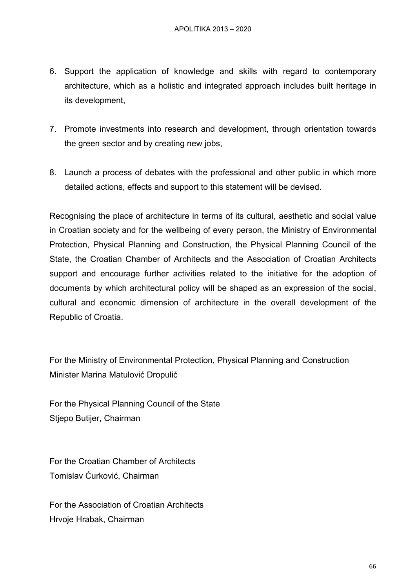- 6. Support the application of knowledge and skills with regard to contemporary architecture, which as a holistic and integrated approach includes built heritage in its development,
- 7. Promote investments into research and development, through orientation towards the green sector and by creating new jobs,
- 8. Launch a process of debates with the professional and other public in which more detailed actions, effects and support to this statement will be devised.

Recognising the place of architecture in terms of its cultural, aesthetic and social value in Croatian society and for the wellbeing of every person, the Ministry of Environmental Protection, Physical Planning and Construction, the Physical Planning Council of the State, the Croatian Chamber of Architects and the Association of Croatian Architects support and encourage further activities related to the initiative for the adoption of documents by which architectural policy will be shaped as an expression of the social, cultural and economic dimension of architecture in the overall development of the Republic of Croatia.

For the Ministry of Environmental Protection, Physical Planning and Construction Minister Marina Matulović Dropulić

For the Physical Planning Council of the State Stjepo Butijer, Chairman

For the Croatian Chamber of Architects Tomislav Ćurković, Chairman

For the Association of Croatian Architects Hrvoje Hrabak, Chairman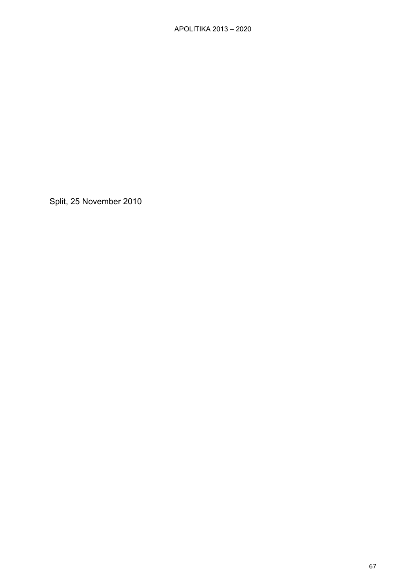Split, 25 November 2010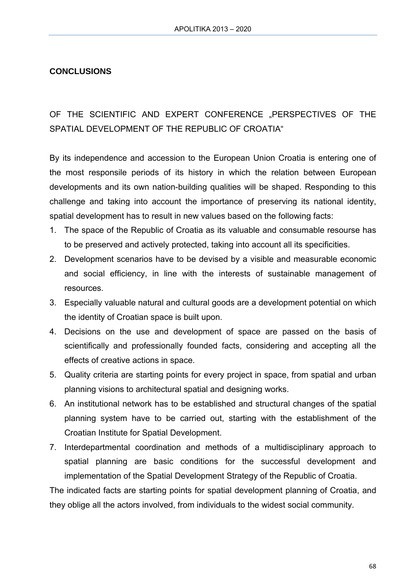### **CONCLUSIONS**

# OF THE SCIENTIFIC AND EXPERT CONFERENCE "PERSPECTIVES OF THE SPATIAL DEVELOPMENT OF THE REPUBLIC OF CROATIA"

By its independence and accession to the European Union Croatia is entering one of the most responsile periods of its history in which the relation between European developments and its own nation-building qualities will be shaped. Responding to this challenge and taking into account the importance of preserving its national identity, spatial development has to result in new values based on the following facts:

- 1. The space of the Republic of Croatia as its valuable and consumable resourse has to be preserved and actively protected, taking into account all its specificities.
- 2. Development scenarios have to be devised by a visible and measurable economic and social efficiency, in line with the interests of sustainable management of resources.
- 3. Especially valuable natural and cultural goods are a development potential on which the identity of Croatian space is built upon.
- 4. Decisions on the use and development of space are passed on the basis of scientifically and professionally founded facts, considering and accepting all the effects of creative actions in space.
- 5. Quality criteria are starting points for every project in space, from spatial and urban planning visions to architectural spatial and designing works.
- 6. An institutional network has to be established and structural changes of the spatial planning system have to be carried out, starting with the establishment of the Croatian Institute for Spatial Development.
- 7. Interdepartmental coordination and methods of a multidisciplinary approach to spatial planning are basic conditions for the successful development and implementation of the Spatial Development Strategy of the Republic of Croatia.

The indicated facts are starting points for spatial development planning of Croatia, and they oblige all the actors involved, from individuals to the widest social community.